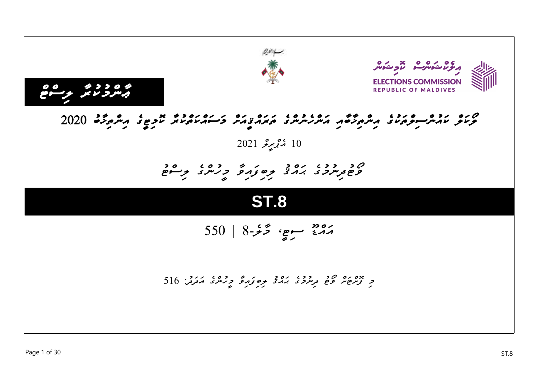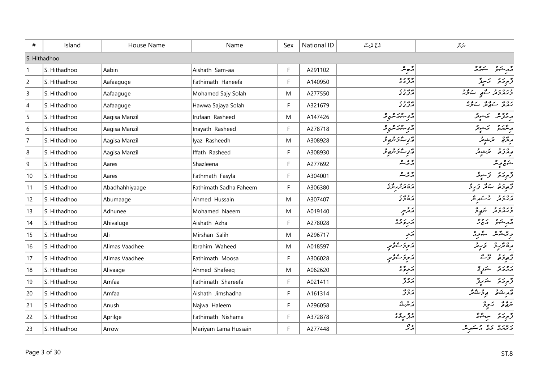| #                | Island       | House Name     | Name                   | Sex | National ID | ېره پر شه                        | ىئرىتر                                                             |
|------------------|--------------|----------------|------------------------|-----|-------------|----------------------------------|--------------------------------------------------------------------|
|                  | S. Hithadhoo |                |                        |     |             |                                  |                                                                    |
|                  | S. Hithadhoo | Aabin          | Aishath Sam-aa         | F   | A291102     | اړځ مر                           | أقرم شوه سنره و                                                    |
| $\overline{c}$   | S. Hithadhoo | Aafaaguge      | Fathimath Haneefa      | F   | A140950     | ه بو و ،<br>پرتو <sub>ک</sub> ر  | ۇۋۇۋە ئاس                                                          |
| 3                | S. Hithadhoo | Aafaaguge      | Mohamed Sajy Solah     | M   | A277550     | ه بو و ،<br>پرتو <sub>ک</sub> ر  | ورەر و گو سکور                                                     |
| 4                | S. Hithadhoo | Aafaaguge      | Hawwa Sajaya Solah     | F   | A321679     | ه به و ،<br>پرتو <sub>ک</sub> ی  | $222 + 222$                                                        |
| 5                | S. Hithadhoo | Aagisa Manzil  | Irufaan Rasheed        | M   | A147426     | ئۇ جەمئىر شىر بۇ                 | ە ئەۋگە ئەسىم                                                      |
| $\sqrt{6}$       | S. Hithadhoo | Aagisa Manzil  | Inayath Rasheed        | F   | A278718     | ئۇ جەنجە ئىر ئىر                 | ويتكتره بمرشوش                                                     |
| $\overline{7}$   | S. Hithadhoo | Aagisa Manzil  | Iyaz Rasheedh          | M   | A308928     | ئۇ سەئەسىر بىر                   |                                                                    |
| 8                | S. Hithadhoo | Aagisa Manzil  | Iffath Rasheed         | F   | A308930     | ئۇ جەنزىقىي بى                   | ده کرشونر<br>درای کرشونر<br>در در کرشونر                           |
| $\boldsymbol{9}$ | S. Hithadhoo | Aares          | Shazleena              | F   | A277692     | پر بر <u>م</u>                   | شەھ بوپىر<br>ئ                                                     |
| 10               | S. Hithadhoo | Aares          | Fathmath Fasyla        | F   | A304001     | پر بر م<br>مربر ب                | وُمِرَةٍ وَجَدِ                                                    |
| 11               | S. Hithadhoo | Abadhahhiyaage | Fathimath Sadha Faheem | F   | A306380     | ىر ئەر ئەر بەر<br>مەھەر ئىر بىرى | وٌ و د د سامرٌ وَ رِ د                                             |
| 12               | S. Hithadhoo | Abumaage       | Ahmed Hussain          | M   | A307407     | 5501                             | رەرو ورىدىگ                                                        |
| 13               | S. Hithadhoo | Adhunee        | Mohamed Naeem          | M   | A019140     | لرقر سر                          | ورەر دىرە                                                          |
| 14               | S. Hithadhoo | Ahivaluge      | Aishath Azha           | F   | A278028     | وسرة وء                          | وكرمشكو الرومي                                                     |
| 15               | S. Hithadhoo | Ali            | Mirshan Salih          | M   | A296717     | تزمز                             | ويرخش بكور                                                         |
| 16               | S. Hithadhoo | Alimas Vaadhee | Ibrahim Waheed         | M   | A018597     | أزمز و المعتقب                   |                                                                    |
| 17               | S. Hithadhoo | Alimas Vaadhee | Fathimath Moosa        | F   | A306028     | <br>  مەمرىر مەھم <sup>ى</sup> ر |                                                                    |
| 18               | S. Hithadhoo | Alivaage       | Ahmed Shafeeq          | M   | A062620     | پر پوځ                           | رەر ئىرىپ                                                          |
| 19               | S. Hithadhoo | Amfaa          | Fathimath Shareefa     | F   | A021411     | پره په                           | و دوره المنظمة<br>وأبو وأبو المنظمة<br>أبو المنظمة المنظمة المنظمة |
| 20               | S. Hithadhoo | Amfaa          | Aishath Jimshadha      | F   | A161314     | رەپى                             |                                                                    |
| 21               | S. Hithadhoo | Anush          | Najwa Haleem           | F   | A296058     | ىر تىرىيە                        | برەپر بەرە                                                         |
| 22               | S. Hithadhoo | Aprilge        | Fathimath Nishama      | F.  | A372878     | ە بۇ بېرى <i>دى</i>              | و ده سرچې                                                          |
| 23               | S. Hithadhoo | Arrow          | Mariyam Lama Hussain   | F.  | A277448     | $\overline{\mathcal{L}}$         | ג פינים גוב הרייתיות                                               |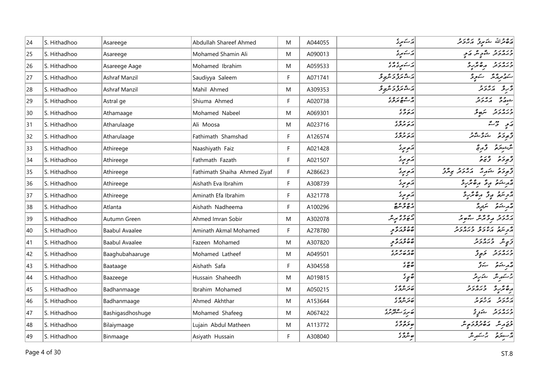| 24 | S. Hithadhoo | Asareege              | Abdullah Shareef Ahmed       | M  | A044055 | ئەسئەمەيج                                    | برە والله خەمرو برەر و             |
|----|--------------|-----------------------|------------------------------|----|---------|----------------------------------------------|------------------------------------|
| 25 | S. Hithadhoo | Asareege              | Mohamed Shamin Ali           | M  | A090013 | ېر کے می <sub>و</sub> ی                      | ورەرو ئۇچىر كەي                    |
| 26 | S. Hithadhoo | Asareege Aage         | Mohamed Ibrahim              | M  | A059533 | پر سر پر می بر می<br>  پر سے پیر بر می       | כמחכת תפתיכ                        |
| 27 | S. Hithadhoo | Ashraf Manzil         | Saudiyya Saleem              | F  | A071741 | ىز شەندى <sub>ر ت</sub> ور ھ <sub>ى</sub> تو | سەمەمەر ئىسىمبەر ئە                |
| 28 | S. Hithadhoo | Ashraf Manzil         | Mahil Ahmed                  | M  | A309353 | ژے پرور ویریج ثر                             | ۇرۇ مەددىر                         |
| 29 | S. Hithadhoo | Astral ge             | Shiuma Ahmed                 | F  | A020738 | و عصره و د<br>مرگستانهای مرکزی               | شورج درورو                         |
| 30 | S. Hithadhoo | Athamaage             | Mohamed Nabeel               | M  | A069301 | بر بر بر بر<br>برخ تر <sub>ک</sub>           | وره دو شهره                        |
| 31 | S. Hithadhoo | Atharulaage           | Ali Moosa                    | M  | A023716 | ر ر و د ،<br>پره برنژ د                      | $23 - 52$                          |
| 32 | S. Hithadhoo | Atharulaage           | Fathimath Shamshad           | F  | A126574 | ر ر د د د ،<br>پره برڅ د                     | و د د ورو و<br>توجوحو شکوشوتر      |
| 33 | S. Hithadhoo | Athireege             | Naashiyath Faiz              | F  | A021428 | ړ<br>مرموسونه                                | لترجع تروم                         |
| 34 | S. Hithadhoo | Athireege             | Fathmath Fazath              | F  | A021507 | لهَ حو مبری                                  | و و د و د د و                      |
| 35 | S. Hithadhoo | Athireege             | Fathimath Shaiha Ahmed Ziyaf | F  | A286623 |                                              | وٌمِ دَمٌ شَهر مُه رور د مِ مِرْوٌ |
| 36 | S. Hithadhoo | Athireege             | Aishath Eva Ibrahim          | F  | A308739 | پر<br>در حوموري                              | ړ. دغو رو ره پر د                  |
| 37 | S. Hithadhoo | Athireege             | Aminath Efa Ibrahim          | F  | A321778 | لأحومونكه                                    | أدمرة وتسمي وكالمرد                |
| 38 | S. Hithadhoo | Atlanta               | Aishath Nadheema             | F  | A100296 | <sup>ى 2</sup> 2 گەنى                        | أشركت سكبرة                        |
| 39 | S. Hithadhoo | Autumn Green          | Ahmed Imran Sobir            | M  | A302078 | <br>  د ۱۳۵۶ مړين                            | גפגב הכתית הים ב                   |
| 40 | S. Hithadhoo | <b>Baabul Avaalee</b> | Aminath Akmal Mohamed        | F. | A278780 | صحيح مركز مر                                 | أتر مرد بره در وبرد د              |
| 41 | S. Hithadhoo | <b>Baabul Avaalee</b> | Fazeen Mohamed               | M  | A307820 |                                              | أزي شرح المردح                     |
| 42 | S. Hithadhoo | Baaghubahaaruge       | Mohamed Latheef              | M  | A049501 | ه در د د ،<br><i>ه د ه ر</i> بر              | ورەر دېرە                          |
| 43 | S. Hithadhoo | Baataage              | Aishath Safa                 | F  | A304558 | $\begin{array}{c} 648 \ 569 \end{array}$     | ۇرمىشى بىر                         |
| 44 | S. Hithadhoo | Baazeege              | Hussain Shaheedh             | M  | A019815 | ڪ سيء <i>گ</i>                               | چرىسى ھەرىھ                        |
| 45 | S. Hithadhoo | Badhanmaage           | Ibrahim Mohamed              | M  | A050215 | ر ره و د ،<br>ت <i>ن</i> تر پر د             | ده نگرده وره د و                   |
| 46 | S. Hithadhoo | Badhanmaage           | Ahmed Akhthar                | M  | A153644 | ر ره و د<br>ت <i>ق</i> ترسرچر                | ره رو درورو                        |
| 47 | S. Hithadhoo | Bashigasdhoshuge      | Mohamed Shafeeg              | M  | A067422 | ے مر <sub>کب</sub> صحیح و ی                  | ورەرو ئىرو                         |
| 48 | S. Hithadhoo | Bilaiymaage           | Lujain Abdul Matheen         | M  | A113772 | <br>  حو مو <del>د</del> ک                   | ور مر محمد ده وه د مر ه            |
| 49 | S. Hithadhoo | Binmaage              | Asiyath Hussain              | F  | A308040 | ە شر <del>ى</del> ر ئ                        | ومسور ومسكور                       |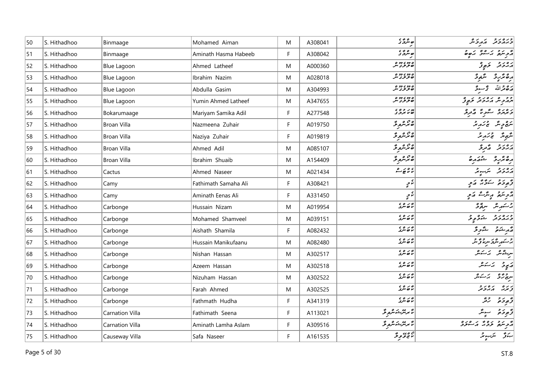| 50 | S. Hithadhoo | Binmaage               | Mohamed Aiman        | M           | A308041 | ە ئەرىرى<br>ئ                              | כממכני התכיל                      |
|----|--------------|------------------------|----------------------|-------------|---------|--------------------------------------------|-----------------------------------|
| 51 | S. Hithadhoo | Binmaage               | Aminath Hasma Habeeb | F           | A308042 | ه ۶ <i>۶۴</i><br>مهرو د                    |                                   |
| 52 | S. Hithadhoo | <b>Blue Lagoon</b>     | Ahmed Latheef        | M           | A000360 | ه دو ه دو ه<br>حاموموی س                   | رەرو ئەۋ                          |
| 53 | S. Hithadhoo | Blue Lagoon            | Ibrahim Nazim        | M           | A028018 | ه دد د د ه<br>ح <del>تر ت</del> ر ت س      | وەترىر ئىبر                       |
| 54 | S. Hithadhoo | <b>Blue Lagoon</b>     | Abdulla Gasim        | M           | A304993 | ه دد د د ه<br>ح <del>ن</del> ر نړۍ س       | 20 مِنْ اللّهِ تَحْ - وَ          |
| 55 | S. Hithadhoo | <b>Blue Lagoon</b>     | Yumin Ahmed Latheef  | M           | A347655 | ه دو ه دو ه<br>ن <i>ن مو بو س</i>          | בכת המכת <del>ב</del> תל          |
| 56 | S. Hithadhoo | Bokarumaage            | Mariyam Samika Adil  | $\mathsf F$ | A277548 | پر ر د » ،<br><i>ه ۷ برد د</i>             | ويرمرو كورة كمورو                 |
| 57 | S. Hithadhoo | <b>Broan Villa</b>     | Nazmeena Zuhair      | $\mathsf F$ | A019750 | ەم ئەش <sub>رى</sub> رىگە                  |                                   |
| 58 | S. Hithadhoo | <b>Broan Villa</b>     | Naziya Zuhair        | F           | A019819 | وه و عرو                                   |                                   |
| 59 | S. Hithadhoo | <b>Broan Villa</b>     | Ahmed Adil           | M           | A085107 | ەممەھرىم                                   | برەر د ئېرو                       |
| 60 | S. Hithadhoo | <b>Broan Villa</b>     | Ibrahim Shuaib       | M           | A154409 | ەممەر بۇ                                   | תפתקיק ביתהפ                      |
| 61 | S. Hithadhoo | Cactus                 | Ahmed Naseer         | M           | A021434 | 2.600                                      |                                   |
| 62 | S. Hithadhoo | Camy                   | Fathimath Samaha Ali | $\mathsf F$ | A308421 | ء<br>موحي                                  | و دو روو د                        |
| 63 | S. Hithadhoo | Camy                   | Aminath Eenas Ali    | $\mathsf F$ | A331450 | ء<br>موج                                   | ومحر يتمتح ويترب وكمعج            |
| 64 | S. Hithadhoo | Carbonge               | Hussain Nizam        | M           | A019954 | پور ه ،<br>پاڻه مر                         | جر سكر مثل المحدث                 |
| 65 | S. Hithadhoo | Carbonge               | Mohamed Shamveel     | M           | A039151 | پۇ يەرە<br>ئاھەتىرى                        |                                   |
| 66 | S. Hithadhoo | Carbonge               | Aishath Shamila      | F           | A082432 | پە يە يە<br>ئاھەسرى                        | لأرشكم الشروق                     |
| 67 | S. Hithadhoo | Carbonge               | Hussain Manikufaanu  | M           | A082480 | پە يە يە<br>ئاھەسرى                        | جەسە <sub>دى</sub> رىقكەسرىدۇ تىر |
| 68 | S. Hithadhoo | Carbonge               | Nishan Hassan        | M           | A302517 | پە يە يە<br>مەھەمىيە                       | س شەھرە ئەسكەش                    |
| 69 | S. Hithadhoo | Carbonge               | Azeem Hassan         | M           | A302518 | پۇ يەمبى<br>مەھەمبە                        | ە ئېچىق ئەسكەنگر                  |
| 70 | S. Hithadhoo | Carbonge               | Nizuham Hassan       | M           | A302522 | پە يە يە<br>ئاھەسرى                        | سرچ پر سکاهر                      |
| 71 | S. Hithadhoo | Carbonge               | Farah Ahmed          | M           | A302525 | په په ه<br>موض                             | ورده بره رو                       |
| 72 | S. Hithadhoo | Carbonge               | Fathmath Hudha       | F.          | A341319 | په په ه<br>موض                             | توجوجو المماثر                    |
| 73 | S. Hithadhoo | <b>Carnation Villa</b> | Fathimath Seena      | $\mathsf F$ | A113021 | ر<br>ئايرىتزىشەملىرىدىگە                   | ۇ بردە سوپىگە<br>كەن كەنتىكى      |
| 74 | S. Hithadhoo | <b>Carnation Villa</b> | Aminath Lamha Aslam  | $\mathsf F$ | A309516 | ئەبرىئۇرىشەمىرىدىگە<br>  ئامرىئورىشەمىرىدى | 200 1 200 200 200 0               |
| 75 | S. Hithadhoo | Causeway Villa         | Safa Naseer          | F           | A161535 | ە ەء،<br>ئىسى ھوھ <sub>ە</sub> مۇ          | سكوًا الكرسومي                    |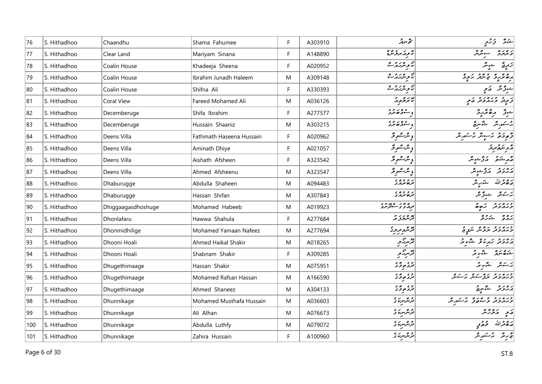| 76           | S. Hithadhoo | Chaandhu           | Shama Fahumee             | F  | A303910 | ر در<br>کارسرلر                                                | شرق ترزح                                    |
|--------------|--------------|--------------------|---------------------------|----|---------|----------------------------------------------------------------|---------------------------------------------|
| 77           | S. Hithadhoo | Clear Land         | Mariyam Sinana            | F. | A148890 | م <sub>عب</sub> ر بربر مرکز مل                                 |                                             |
| 78           | S. Hithadhoo | Coalin House       | Khadeeja Sheena           | F. | A020952 | م په عربر مه م                                                 | ر ورو سرگرگر<br>دیرگرو سرگرگر<br>دیرگر شرگر |
| 79           | S. Hithadhoo | Coalin House       | Ibrahim Junadh Haleem     | M  | A309148 | م د عربر د ه<br>ما د مرکز <i>مر</i>                            | رەپرو ئەشكى ئېرو                            |
| 80           | S. Hithadhoo | Coalin House       | Shifna Ali                | F  | A330393 | م پر <i>مرد م</i>                                              | جوش کړ                                      |
| 81           | S. Hithadhoo | Coral View         | <b>Fareed Mohamed Ali</b> | M  | A036126 | ليوبره وحر                                                     | ر<br>تر دید در در در در د                   |
| 82           | S. Hithadhoo | Decemberuge        | Shifa Ibrahim             | F  | A277577 | ، مسرح ده بر د ،<br>په مسرح ه بر د ،                           | شوق مەھەرد                                  |
| 83           | S. Hithadhoo | Decemberuge        | Hussain Shaaniz           | M  | A303215 | 5000                                                           | بر سكور مشريع                               |
| 84           | S. Hithadhoo | Deens Villa        | Fathmath Haseena Hussain  | F  | A020962 | ، ئ <i>ۇر ش<sub>ەھ</sub> ۋ</i>                                 | ۇ يەدە بەسىتى باشكىرىش                      |
| 85           | S. Hithadhoo | Deens Villa        | Aminath Dhiye             | F  | A021057 | ، ب <sup>ر</sup> ر ش <sub>ور</sub> وً                          | و سره مره<br>مرسره مر                       |
| 86           | S. Hithadhoo | Deens Villa        | Aishath Afsheen           | F. | A323542 | ، ب <sup>ر</sup> ر ش <sub>مو</sub> مَحْ                        |                                             |
| 87           | S. Hithadhoo | Deens Villa        | Ahmed Afsheenu            | M  | A323547 | <sub>۽</sub> بڻرڪ <sub>وم</sub> وً                             | ره رو دو دو.<br>ا <i>د برو د</i> و شوش      |
| 88           | S. Hithadhoo | Dhaburugge         | Abdulla Shaheen           | M  | A094483 | ر و و ه ه<br>تره مرد د                                         | أرة مرالله خريثه                            |
| 89           | S. Hithadhoo | Dhaburugge         | Hassan Shifan             | M  | A307843 | ر و و ه ه<br>تر <i>ه بو و</i> د                                | ىر كەش سوۋىش                                |
| $ 90\rangle$ | S. Hithadhoo | Dhiggaagasdhoshuge | Mohamed Habeeb            | M  | A019923 | ہ بھر رہ ہو و تا<br>توبہ تح <sup>کم</sup> س <sup>و</sup> توبوی | 2012 2012                                   |
| 91           | S. Hithadhoo | Dhonlafaru         | Hawwa Shahula             | F  | A277684 | بر <i>0 پر بر</i> حر                                           | برە ئەرقە                                   |
| 92           | S. Hithadhoo | Dhonmidhilige      | Mohamed Yamaan Nafeez     | M  | A277694 | قرير وبرور                                                     | ورەرو روم شريخ                              |
| 93           | S. Hithadhoo | Dhooni Hoali       | Ahmed Haikal Shakir       | M  | A018265 | قرمبرر<br>قرمبرر                                               | رەر ئەر ئوسكى ئە                            |
| 94           | S. Hithadhoo | Dhooni Hoali       | Shabnam Shakir            | F. | A309285 | ود مرکز<br>قرمبرر کر                                           | شەھىرو شىرىم                                |
| 95           | S. Hithadhoo | Dhugethimaage      | Hassan Shakir             | M  | A075951 | و ۽ په ۽<br>تري جو پر ي                                        | ىر سىكىش ئىش بىر                            |
| 96           | S. Hithadhoo | Dhugethimaage      | Mohamed Rafsan Hassan     | M  | A166590 | د ،<br>تررم و د د                                              | ورەرو رە رەپە ئەسەر                         |
| 97           | S. Hithadhoo | Dhugethimaage      | Ahmed Shaneez             | M  | A304133 | د ،<br>تررم و د د                                              | رەرد شەرى                                   |
| 98           | S. Hithadhoo | Dhunnikage         | Mohamed Musthafa Hussain  | M  | A036603 | قریٹر سریر <sub>کا</sub>                                       | ورەرو وەرە وىمبر                            |
| 99           | S. Hithadhoo | Dhunnikage         | Ali Alhan                 | M  | A076673 | قریرسریری                                                      | أەي مەۋرىر                                  |
| 100          | S. Hithadhoo | Dhunnikage         | Abdulla Luthfy            | M  | A079072 | قریرسریز کی                                                    | رە داللە ھەمچ                               |
| 101          | S. Hithadhoo | Dhunnikage         | Zahira Hussain            | F  | A100960 | قرىرىدى                                                        | تجرىخ برخىدىنگ                              |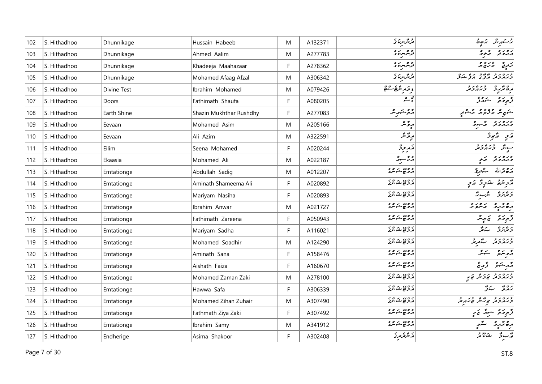| 102 | S. Hithadhoo | Dhunnikage  | Hussain Habeeb          | M           | A132371 | قریبربریم                                           | جاسكور محركة وكالمحافة                                                                                                                      |
|-----|--------------|-------------|-------------------------|-------------|---------|-----------------------------------------------------|---------------------------------------------------------------------------------------------------------------------------------------------|
| 103 | S. Hithadhoo | Dhunnikage  | Ahmed Aalim             | M           | A277783 | و م <sub>ە</sub> رىرى<br>تىرىئى <i>س</i>            | دەر د ئەرۋ                                                                                                                                  |
| 104 | S. Hithadhoo | Dhunnikage  | Khadeeja Maahazaar      | $\mathsf F$ | A278362 | قری <i>گریندی</i><br>  قری <i>گرینو</i> ئر          | تزەرىج   ئەگرىج ئىر                                                                                                                         |
| 105 | S. Hithadhoo | Dhunnikage  | Mohamed Afaag Afzal     | M           | A306342 | و ه سر ړ ،<br>  توسرس <sub>ک</sub>                  | ورەر د پرو رە رو<br><i>دىد</i> ىدىن ئ <i>ەۋتى ئەۋ</i> ىنىۋ                                                                                  |
| 106 | S. Hithadhoo | Divine Test | Ibrahim Mohamed         | M           | A079426 |                                                     | ת <i>סיתי כי הרבת</i>                                                                                                                       |
| 107 | S. Hithadhoo | Doors       | Fathimath Shaufa        | $\mathsf F$ | A080205 | $\overline{2}$ $\overline{3}$                       | تو د د دو                                                                                                                                   |
| 108 | S. Hithadhoo | Earth Shine | Shazin Mukhthar Rushdhy | F           | A277083 | ۇ ئەھمەتىر بىر                                      | ڪي ھر وار ۾ گرڪي                                                                                                                            |
| 109 | S. Hithadhoo | Eevaan      | Mohamed Asim            | M           | A205166 | رځ پر                                               | ورەرو ۋىبو                                                                                                                                  |
| 110 | S. Hithadhoo | Eevaan      | Ali Azim                | M           | A322591 | لهوءثر                                              | $\begin{bmatrix} 0 & \frac{\sqrt{3}}{2} & \frac{\sqrt{3}}{2} \\ \frac{\sqrt{3}}{2} & \frac{\sqrt{3}}{2} & \frac{\sqrt{3}}{2} \end{bmatrix}$ |
| 111 | S. Hithadhoo | Eilim       | Seena Mohamed           | F           | A020244 | ې مرمرو<br>د                                        | سوش وره دو<br>سوش وبرودتر                                                                                                                   |
| 112 | S. Hithadhoo | Ekaasia     | Mohamed Ali             | M           | A022187 | لمرتثه سبرته                                        | ورەرو كې                                                                                                                                    |
| 113 | S. Hithadhoo | Emtationge  | Abdullah Sadig          | M           | A012207 | ، ه ، ، ، ، ، ،<br>پر و ج شه سر                     | برە تراللە<br>سبگەندىتى                                                                                                                     |
| 114 | S. Hithadhoo | Emtationge  | Aminath Shameema Ali    | F           | A020892 | ، ه ، ، ، ، ، ،<br>پر و ج شه سر                     | أأو سُرة الشَّادِة أو مَا إِ                                                                                                                |
| 115 | S. Hithadhoo | Emtationge  | Mariyam Nasiha          | $\mathsf F$ | A020893 | ، ٥، ، ٥، ٥، ٥<br>اړو ځا شوسری                      | زەرە شەر                                                                                                                                    |
| 116 | S. Hithadhoo | Emtationge  | Ibrahim Anwar           | M           | A021727 | ، ه ، ، ، ، ، ،<br>پر <del>ز</del> چاشتوسری         | رەپرىر مىروپر                                                                                                                               |
| 117 | S. Hithadhoo | Emtationge  | Fathimath Zareena       | F           | A050943 | ، ٥، ، ٥، ٥، ٥<br>مرح ڪسر                           | أزودة تميش                                                                                                                                  |
| 118 | S. Hithadhoo | Emtationge  | Mariyam Sadha           | F           | A116021 | ې <i>دې د ه</i><br>مرح کا شرمل                      | رەرە بەر                                                                                                                                    |
| 119 | S. Hithadhoo | Emtationge  | Mohamed Soadhir         | M           | A124290 | ، ه ، ، د ه ،<br>د <del>ر</del> ه څوسر <sub>ۍ</sub> | ورەرو ئەبرىر                                                                                                                                |
| 120 | S. Hithadhoo | Emtationge  | Aminath Sana            | F           | A158476 | ، ه ، ، ، ، ، ،<br>پر و ج شه سر                     | ړٌ پر سَر کر                                                                                                                                |
| 121 | S. Hithadhoo | Emtationge  | Aishath Faiza           | $\mathsf F$ | A160670 | ې <i>دې د ه</i><br>مرح کا شرمل                      | ومشكا ومدمج                                                                                                                                 |
| 122 | S. Hithadhoo | Emtationge  | Mohamed Zaman Zaki      | M           | A278100 | ، ه ، ، ، ، ، ،<br>پر <del>ز</del> چاشتوسری         | CLOLC LLOLS                                                                                                                                 |
| 123 | S. Hithadhoo | Emtationge  | Hawwa Safa              | F           | A306339 | ، ه ، ، ، ، ، ،<br>پر <del>ز</del> چاشتوسری         | رەپە بىر                                                                                                                                    |
| 124 | S. Hithadhoo | Emtationge  | Mohamed Zihan Zuhair    | M           | A307490 | پرو <sub>غ</sub> شده و پر                           | ورەرو پر شهر برگر چ                                                                                                                         |
| 125 | S. Hithadhoo | Emtationge  | Fathmath Ziya Zaki      | F           | A307492 | ، ه ، ، ، ، ، ،<br>پر و ج شه سر                     | و و ده سره نم                                                                                                                               |
| 126 | S. Hithadhoo | Emtationge  | Ibrahim Samy            | M           | A341912 | ه وي د و ه<br>مرو کا شکس                            | وە ئۈرۈ                                                                                                                                     |
| 127 | S. Hithadhoo | Endherige   | Asima Shakoor           | F           | A302408 | ې ۵ دی پې                                           | رژبەيز<br>ر دو د<br>شور مر                                                                                                                  |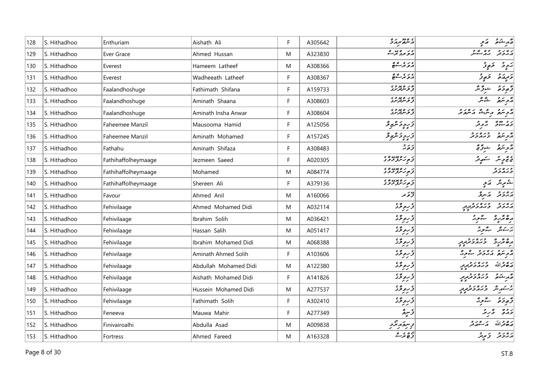| 128 | S. Hithadhoo | Enthuriam              | Aishath Ali           | F           | A305642 | ם סמי הם<br>הייטוב והב                             | أمام ينقص أمامي                                                                                                                                                                                                                  |
|-----|--------------|------------------------|-----------------------|-------------|---------|----------------------------------------------------|----------------------------------------------------------------------------------------------------------------------------------------------------------------------------------------------------------------------------------|
| 129 | S. Hithadhoo | Ever Grace             | Ahmed Hussan          | M           | A323830 | ې بر وي ه<br>مړي مرت                               | رەرو وەرمەر                                                                                                                                                                                                                      |
| 130 | S. Hithadhoo | Everest                | Hameem Latheef        | M           | A308366 | ې په په ده ه<br>پرې مرسو                           | ځږوژ<br>  پر پر چ                                                                                                                                                                                                                |
| 131 | S. Hithadhoo | Everest                | Wadheeath Latheef     | F           | A308367 | ې په په ده ه<br>مرغ مرسو                           | ر<br>وګړه و<br>ځږوژ                                                                                                                                                                                                              |
| 132 | S. Hithadhoo | Faalandhoshuge         | Fathimath Shifana     | F           | A159733 | ء ر ه پر د ،<br>تر تر سربر ر                       | و مرد<br>توجو حر<br>ىشوۋىتر                                                                                                                                                                                                      |
| 133 | S. Hithadhoo | Faalandhoshuge         | Aminath Shaana        | F           | A308603 | ء ر ەيد د ،<br>توخ سرترىرى                         | مَّ جِسَعَةٍ حَسَّسَ                                                                                                                                                                                                             |
| 134 | S. Hithadhoo | Faalandhoshuge         | Aminath Insha Anwar   | F           | A308604 | ء ر ه پر و ،<br>تر <del>ت</del> ر سرد              | أأديتهم ويترجأ المتروجر                                                                                                                                                                                                          |
| 135 | S. Hithadhoo | <b>Faheemee Manzil</b> | Mausooma Hamid        | F           | A125056 | ۇرپە ئەھمىي قە                                     | د و دوه د و د                                                                                                                                                                                                                    |
| 136 | S. Hithadhoo | <b>Faheemee Manzil</b> | Aminath Mohamed       | F           | A157245 | ارَرِ <sub>و</sub> ِ دَ مُرْ <sub>مِ</sub> وَ      | و رە ر د<br>تر پەر تەر<br>پ <sup>ر</sup> جه سره<br>مرجع سره                                                                                                                                                                      |
| 137 | S. Hithadhoo | Fathahu                | Aminath Shifaza       | F           | A308483 | ر ر د<br>تره بر                                    | حشو ترمج<br>مر<br>ړګه سرچ                                                                                                                                                                                                        |
| 138 | S. Hithadhoo | Fathihaffolheymaage    | Jezmeen Saeed         | F           | A020305 | ن مره برده د و بر<br>  توجو سرتو مرحری             | پچ چ <sub>و</sub> سر<br> <br>سكھيەتىر                                                                                                                                                                                            |
| 139 | S. Hithadhoo | Fathihaffolheymaage    | Mohamed               | M           | A084774 | تر بر ه پر <i>ه و »</i><br>قر <i>ه رکرو نر</i> و د | و ر ه ر و<br><i>و پر</i> و تر                                                                                                                                                                                                    |
| 140 | S. Hithadhoo | Fathihaffolheymaage    | Shereen Ali           | F           | A379136 | ر پره پوه په په<br>د کلمو پر لرک                   | ڪيرش کي پ                                                                                                                                                                                                                        |
| 141 | S. Hithadhoo | Favour                 | Ahmed Anil            | M           | A160066 | دەر<br>قرحەس                                       | ړه رو که سر                                                                                                                                                                                                                      |
| 142 | S. Hithadhoo | Fehivilaage            | Ahmed Mohamed Didi    | M           | A032114 | ې ر <sub>ح قر</sub> ي<br>تر رح                     | ره رو وره رو<br>مدونر وبه دنربربر                                                                                                                                                                                                |
| 143 | S. Hithadhoo | Fehivilaage            | Ibrahim Solih         | M           | A036421 | ې ر <sub>حو</sub> تو <sup>ي</sup>                  | ەھترىرى سۇرى <sub>م</sub>                                                                                                                                                                                                        |
| 144 | S. Hithadhoo | Fehivilaage            | Hassan Salih          | M           | A051417 | ې <sub>مرحو</sub> تخه <sup>ي</sup>                 | برسەيىتى<br>ستحوز                                                                                                                                                                                                                |
| 145 | S. Hithadhoo | Fehivilaage            | Ibrahim Mohamed Didi  | M           | A068388 | ې<br>تر <sub>مر</sub> مونځۍ                        | رەپر رە<br>برەپر رە<br>و ر ه ر و<br>تر پر پر توبرنو<br>پ                                                                                                                                                                         |
| 146 | S. Hithadhoo | Fehivilaage            | Aminath Ahmed Solih   | F           | A103606 | ې ر <sub>حو</sub> تو <sup>ي</sup>                  | أأوسكم المادوقر الشور                                                                                                                                                                                                            |
| 147 | S. Hithadhoo | Fehivilaage            | Abdullah Mohamed Didi | M           | A122380 | ۇروقۇ                                              | ره و الله - دره روبربر                                                                                                                                                                                                           |
| 148 | S. Hithadhoo | Fehivilaage            | Aishath Mohamed Didi  | $\mathsf F$ | A141826 | ۇروڭۇ                                              |                                                                                                                                                                                                                                  |
| 149 | S. Hithadhoo | Fehivilaage            | Hussein Mohamed Didi  | M           | A277537 | ۇر <sub>ىرىۋ</sub> ۇ                               | י הודי היינדי היינדי היינדי היינדי היינדי היינדי היינדי היינדי היינדי היינדי היינדי היינדי היינדי היינדי היינד<br>היינדי היינדי היינדי היינדי היינדי היינדי היינדי היינדי היינדי היינדי היינדי היינדי היינדי היינדי היינדי היינד |
| 150 | S. Hithadhoo | Fehivilaage            | Fathimath Solih       | F           | A302410 | ې ره وي<br><u>د رو</u> وي                          | و و د د به دو.                                                                                                                                                                                                                   |
| 151 | S. Hithadhoo | Feneeva                | Mauwa Mahir           | F           | A277349 | ې<br>نومېږمنځه                                     | ر و د<br>و د ه<br>ۇرىر                                                                                                                                                                                                           |
| 152 | S. Hithadhoo | Finivairoalhi          | Abdulla Asad          | M           | A009838 | وسرەُ مەنگە                                        | بر25 الله<br>بر <u>صور و</u>                                                                                                                                                                                                     |
| 153 | S. Hithadhoo | Fortress               | Ahmed Fareed          | M           | A163328 | <i>چ</i> ء عرشه                                    | برەرو كەيد                                                                                                                                                                                                                       |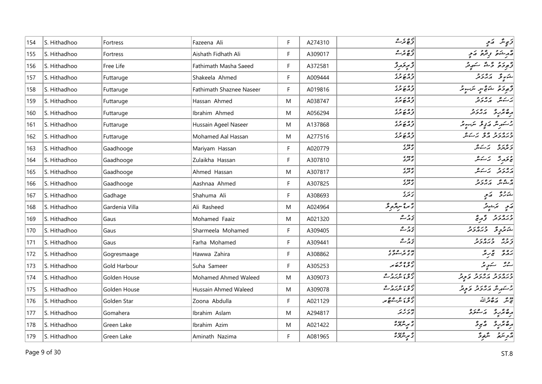| 154 | S. Hithadhoo | Fortress            | Fazeena Ali              | F           | A274310 | 3 ء ۽ م                                           | تو پر من                                                                                                       |
|-----|--------------|---------------------|--------------------------|-------------|---------|---------------------------------------------------|----------------------------------------------------------------------------------------------------------------|
| 155 | S. Hithadhoo | Fortress            | Aishath Fidhath Ali      | F           | A309017 | ج ء بر م<br>  <del>ز</del> ع بر م                 | وأرشاه وقرم وتو                                                                                                |
| 156 | S. Hithadhoo | Free Life           | Fathimath Masha Saeed    | $\mathsf F$ | A372581 | و <sub>میک</sub> خ <sub>ص</sub> و                 | وَ وَ وَ شَدَّ سَهِيمَ                                                                                         |
|     |              |                     |                          |             |         |                                                   |                                                                                                                |
| 157 | S. Hithadhoo | Futtaruge           | Shakeela Ahmed           | F           | A009444 | و ه ر و د<br>ژ د ځ مرد                            | شەرقە مەدرە                                                                                                    |
| 158 | S. Hithadhoo | Futtaruge           | Fathimath Shaznee Naseer | F           | A019816 | و ه ر و ،<br>ژ د ځ بر د                           | قُرُوحَ مُسَوَّيْ مِنْ مَرْسِومُرَ                                                                             |
| 159 | S. Hithadhoo | Futtaruge           | Hassan Ahmed             | M           | A038747 | و ه ر و ،<br>ژ د ځ بر د                           | يزك مده د و د                                                                                                  |
| 160 | S. Hithadhoo | Futtaruge           | Ibrahim Ahmed            | M           | A056294 | و ه ر و ،<br>ز د ځ مرد                            | دە ئەرد مەدد                                                                                                   |
| 161 | S. Hithadhoo | Futtaruge           | Hussain Ageel Naseer     | M           | A137868 | و ه ر و د<br>ز د ځ مرد                            | برجمرها كالإفى الكاسولي                                                                                        |
| 162 | S. Hithadhoo | Futtaruge           | Mohamed Aal Hassan       | M           | A277516 | و ه ر و ،<br>ژ د ځ مرد                            | ورەرو ۋە برىكە                                                                                                 |
| 163 | S. Hithadhoo | Gaadhooge           | Mariyam Hassan           | F           | A020779 | پر دو بر<br>ک تر ک                                | دەرە بەسەر                                                                                                     |
| 164 | S. Hithadhoo | Gaadhooge           | Zulaikha Hassan          | F           | A307810 | پر دو بر<br>ک فرک                                 | پر خمر شرکت پر سندس                                                                                            |
| 165 | S. Hithadhoo | Gaadhooge           | Ahmed Hassan             | M           | A307817 | پر دو بر<br>ک تر ک                                | رەرو بەسەر                                                                                                     |
| 166 | S. Hithadhoo | Gaadhooge           | Aashnaa Ahmed            | F           | A307825 | ږ ده د تا<br>ک فري                                | د ه شو شهر د در د                                                                                              |
| 167 | S. Hithadhoo | Gadhage             | Shahuma Ali              | $\mathsf F$ | A308693 | ر ر ،<br>ک توک                                    | شرژۇ كەيپ                                                                                                      |
| 168 | S. Hithadhoo | Gardenia Villa      | Ali Rasheed              | M           | A024964 | د محمد مع مرکز مرکز<br>محمد میں مرکز مرکز         | أوكمني المخرجون                                                                                                |
| 169 | S. Hithadhoo | Gaus                | Mohamed Faaiz            | M           | A021320 | تەر مە                                            |                                                                                                                |
| 170 | S. Hithadhoo | Gaus                | Sharmeela Mohamed        | F.          | A309405 | ئەزمىگە                                           | شكروه ورەرو                                                                                                    |
| 171 | S. Hithadhoo | Gaus                | Farha Mohamed            | F           | A309441 | ئەچرىشە                                           | ر وہ مصر در د<br>توسرت حدید حالہ                                                                               |
| 172 | S. Hithadhoo | Gogresmaage         | Hawwa Zahira             | F           | A308862 | پره و ده و و<br>د د برسو <del>ر</del> د           | برەپچ<br>پچ ريڅه<br>پخ                                                                                         |
| 173 | S. Hithadhoo | <b>Gold Harbour</b> | Suha Sameer              | $\mathsf F$ | A305253 | ہ ہ ہ ہ ر<br>بر موج ٹرٹھ ہو                       | رجرمى الكولوني                                                                                                 |
| 174 | S. Hithadhoo | Golden House        | Mohamed Ahmed Waleed     | M           | A309073 | ە يە يەر دەر<br><mark>ئى</mark> رى ئىر <i>زار</i> |                                                                                                                |
| 175 | S. Hithadhoo | Golden House        | Hussain Ahmed Waleed     | M           | A309078 | ە ە رەر دە<br>ئەمەنە مەركەت                       | ير مسكر مدارد المحتجم المحمد المحمد المحمد المسكر من المحمد المحمد المحمد المحمد المحمد المحمد المحمد المحمد ا |
| 176 | S. Hithadhoo | Golden Star         | Zoona Abdulla            | F           | A021129 | ج و بر عراق عمر                                   | ج مَعْرَ صَدَّقَرَاللَّهُ                                                                                      |
| 177 | S. Hithadhoo | Gomahera            | Ibrahim Aslam            | M           | A294817 | پر ر پ<br>ئ خر کريمر                              | برشزو<br>ەر ھەترىر <i>ۋ</i>                                                                                    |
| 178 | S. Hithadhoo | Green Lake          | Ibrahim Azim             | M           | A021422 | ە پرى <i>ترىۋى</i>                                | ە ھەترىرى<br>برھەترىرى<br>وتيمج شر                                                                             |
| 179 | S. Hithadhoo | Green Lake          | Aminath Nazima           | F           | A081965 | ه پر پرویزه<br>د پر پروژه                         | أأدسته شجرة                                                                                                    |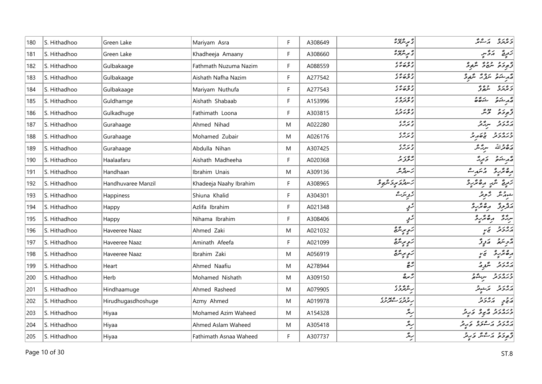| 180 | S. Hithadhoo | Green Lake         | Mariyam Asra           | F           | A308649 | ه پرسربور<br>د پرسربور                       | وبروره برصير                                 |
|-----|--------------|--------------------|------------------------|-------------|---------|----------------------------------------------|----------------------------------------------|
| 181 | S. Hithadhoo | Green Lake         | Khadheeja Amaany       | F.          | A308660 | <sub>و مو</sub> روء ہ                        | زَمِرِيحٌ    دَرَّسٍ                         |
| 182 | S. Hithadhoo | Gulbakaage         | Fathmath Nuzuma Nazim  | F           | A088559 | و ه ر و »<br>د نره نړ                        | و دو دوه شود                                 |
| 183 | S. Hithadhoo | Gulbakaage         | Aishath Nafha Nazim    | F           | A277542 | و ه رو ء<br>د <del>تر</del> ځ تر             | و درود شور شهره<br>مگر شور شرور شهره         |
| 184 | S. Hithadhoo | Gulbakaage         | Mariyam Nuthufa        | F.          | A277543 | و ه ر و »<br>د نوه مړ                        | ره ره ده و<br>تربرد سروژ                     |
| 185 | S. Hithadhoo | Guldhamge          | Aishath Shabaab        | F           | A153996 | و ه ر ه ،<br>د <del>و</del> ترو د            | $rac{200}{200}$ $rac{2}{20}$                 |
| 186 | S. Hithadhoo | Gulkadhuge         | Fathimath Loona        | F           | A303815 | و ه ر و ،<br>ئ نوما تور                      | وَجوحه وحمدٌ                                 |
| 187 | S. Hithadhoo | Gurahaage          | Ahmed Nihad            | M           | A022280 | و ر بر پ<br>ی بورگ                           | پروی مردمی                                   |
| 188 | S. Hithadhoo | Gurahaage          | Mohamed Zubair         | M           | A026176 | و ر بر د<br>ک بورگ                           | כנסנכ כנג                                    |
| 189 | S. Hithadhoo | Gurahaage          | Abdulla Nihan          | M           | A307425 | و ر و ،<br>ی بورگ                            | أرة قرالله مرتج مر                           |
| 190 | S. Hithadhoo | Haalaafaru         | Aishath Madheeha       | F.          | A020368 | ژ ژ ژ ژ                                      | وكركو كرير                                   |
| 191 | S. Hithadhoo | Handhaan           | Ibrahim Unais          | M           | A309136 | ئەس <i>ەرگە</i> ر                            | مقتررة متمت                                  |
| 192 | S. Hithadhoo | Handhuvaree Manzil | Khadeeja Naahy Ibrahim | $\mathsf F$ | A308965 | ئەسترۇپرۇشبوۋ                                | .<br>زېږمځ سې ره تر د                        |
| 193 | S. Hithadhoo | Happiness          | Shiuna Khalid          | F           | A304301 | ئ <sub>ە بو</sub> ىئەت<br>م                  | شور مگر اگر ولر                              |
| 194 | S. Hithadhoo | Happy              | Azlifa Ibrahim         | F           | A021348 | ر<br>ري                                      | ړورو ره ټرو                                  |
| 195 | S. Hithadhoo | Happy              | Nihama Ibrahim         | $\mathsf F$ | A308406 | اءِ<br>سي                                    | سرجنى مەھىرىدى                               |
| 196 | S. Hithadhoo | Haveeree Naaz      | Ahmed Zaki             | M           | A021032 | ر<br>ئە <sub>ۋ</sub> بىرىترى                 | أرور و سي                                    |
| 197 | S. Hithadhoo | Haveeree Naaz      | Aminath Afeefa         | F           | A021099 | لئوبريثي                                     | ړٌ پر په کاروگ                               |
| 198 | S. Hithadhoo | Haveeree Naaz      | Ibrahim Zaki           | M           | A056919 | ارَهِ بِرِيْرَةٍ                             |                                              |
| 199 | S. Hithadhoo | Heart              | Ahmed Naafiu           | M           | A278944 | رًّج                                         | رەرد شرد                                     |
| 200 | S. Hithadhoo | Herb               | Mohamed Nishath        | M           | A309150 | ر<br>رسمرہ                                   | ورەرو سرشۇر                                  |
| 201 | S. Hithadhoo | Hindhaamuge        | Ahmed Rasheed          | M           | A079905 | ر ۵۶۵ و <sup>ی</sup><br>ر سرترو <sub>ک</sub> | رەرو كەنبەت <sub>ى</sub>                     |
| 202 | S. Hithadhoo | Hirudhugasdhoshuge | Azmy Ahmed             | M           | A019978 | ر و و ر _ە يو و ي<br>ر بولوى سىقرىرى         | أمجمج متمرد                                  |
| 203 | S. Hithadhoo | Hiyaa              | Mohamed Azim Waheed    | M           | A154328 | رېژ                                          | ورەرو مەد كۆرگ                               |
| 204 | S. Hithadhoo | Hiyaa              | Ahmed Aslam Waheed     | M           | A305418 | ىرىژ                                         | رەر دىر 200 كەردى<br>مەركى مەسىر ئىس كەردىگە |
| 205 | S. Hithadhoo | Hiyaa              | Fathimath Asnaa Waheed | F           | A307737 | رچ                                           | توجوجو ماكسم ومارو                           |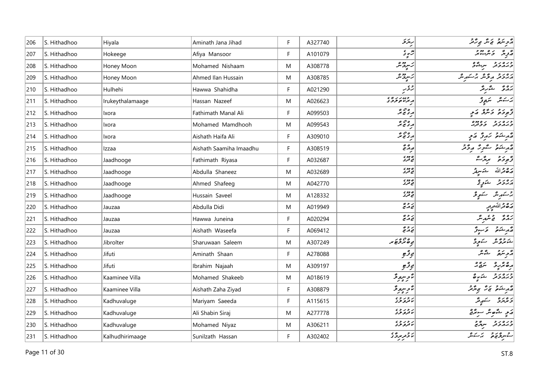| 206 | S. Hithadhoo | Hiyala           | Aminath Jana Jihad      | F  | A327740 | رىزىخ                           | أأترجم فكالمستحرج                        |
|-----|--------------|------------------|-------------------------|----|---------|---------------------------------|------------------------------------------|
| 207 | S. Hithadhoo | Hokeege          | Afiya Mansoor           | F. | A101079 | بر<br>سرپې                      | أوروش وأحدثهم                            |
| 208 | S. Hithadhoo | Honey Moon       | Mohamed Nishaam         | M  | A308778 | ئە پەردىم<br>ئە                 | ورەرو سرشو                               |
| 209 | S. Hithadhoo | Honey Moon       | Ahmed Ilan Hussain      | M  | A308785 | ئە بىر 3 مىر<br>ئە              | رورد رؤمر برخبرمر                        |
| 210 | S. Hithadhoo | Hulhehi          | Hawwa Shahidha          | F  | A021290 | ری<br>رنگ                       | برە ئەستەرىگە                            |
| 211 | S. Hithadhoo | Irukeythalamaage | Hassan Nazeef           | M  | A026623 | כמיק גם<br>קיבטים בכב           | ىزىكەش سىنجوش                            |
| 212 | S. Hithadhoo | Ixora            | Fathimath Manal Ali     | F  | A099503 | ەرى ئەتە                        | وٌ و د د عرو کام                         |
| 213 | S. Hithadhoo | Ixora            | Mohamed Mamdhooh        | M  | A099543 | ە 20° ئە                        | כנסנכ נסמם<br><i>כג</i> ובע <i>בב</i> טג |
| 214 | S. Hithadhoo | Ixora            | Aishath Haifa Ali       | F  | A309010 | ەرىمى ئىگە                      | وأرجنتم تروق وي                          |
| 215 | S. Hithadhoo | Izzaa            | Aishath Saamiha Imaadhu | F  | A308519 | ەدىج                            | ومشاه والمحمر والمحمد                    |
| 216 | S. Hithadhoo | Jaadhooge        | Fathimath Riyasa        | F. | A032687 | چ وو بر<br>  قع قری             | رُّمِودَهُ بِرِيَّرُ وَ                  |
| 217 | S. Hithadhoo | Jaadhooge        | Abdulla Shaneez         | M  | A032689 | پي وو ع<br>فع فر ي              | پره قرالله خوسيقر                        |
| 218 | S. Hithadhoo | Jaadhooge        | Ahmed Shafeeq           | M  | A042770 | پي وو ع<br>فع فري               | رەرچە سەرپى                              |
| 219 | S. Hithadhoo | Jaadhooge        | Hussain Saveel          | M  | A128332 | چ وو بر<br>  قع قری             | يزىتىرىنى كتوپۇ                          |
| 220 | S. Hithadhoo | Jauzaa           | Abdulla Didi            | M  | A019949 | ر و ه<br>قع آرنج                | ر صحراللّه مرمر<br>مرضور اللّه مرمر      |
| 221 | S. Hithadhoo | Jauzaa           | Hawwa Juneina           | F  | A020294 | ر و د<br>ق                      | رەپە دېرىش                               |
| 222 | S. Hithadhoo | Jauzaa           | Aishath Waseefa         | F  | A069412 | ر و ء<br>قع آرم                 | أقهر شكافه المحاسبوق                     |
| 223 | S. Hithadhoo | Jibrolter        | Sharuwaan Saleem        | M  | A307249 | و ه ژويج پر                     | شەرە بىرە                                |
| 224 | S. Hithadhoo | Jifuti           | Aminath Shaan           | F  | A278088 | وگوح                            | أأرمر المحمد المحمد                      |
| 225 | S. Hithadhoo | Jifuti           | Ibrahim Najaah          | M  | A309197 | وگوح                            | ەرھەتمەر 2<br>ب<br>ىر بە ە               |
| 226 | S. Hithadhoo | Kaaminee Villa   | Mohamed Shakeeb         | M  | A018619 | ر<br>سرپەر                      | وره دو دره                               |
| 227 | S. Hithadhoo | Kaaminee Villa   | Aishath Zaha Ziyad      | F  | A308879 | ئۇچە سرە <sub>ر</sub> مۇ<br>س   | و المرکور کار کا کارور                   |
| 228 | S. Hithadhoo | Kadhuvaluge      | Mariyam Saeeda          | F. | A115615 | ر ور و ،<br>ما توح <i>ا</i> نوی | د ۱۳ د کر میرنگر                         |
| 229 | S. Hithadhoo | Kadhuvaluge      | Ali Shabin Siraj        | M  | A277778 | ر ور و ،<br>ما تعری بو ی        | أركمني ستكره والمرتدم                    |
| 230 | S. Hithadhoo | Kadhuvaluge      | Mohamed Niyaz           | M  | A306211 | ر ور و ،<br>ما تعری موم         | בגםגב תואב                               |
| 231 | S. Hithadhoo | Kalhudhirimaage  | Sunilzath Hassan        | F. | A302402 | ئۈتىر بىردى<br>                 | شىرونىمۇ برىكىر                          |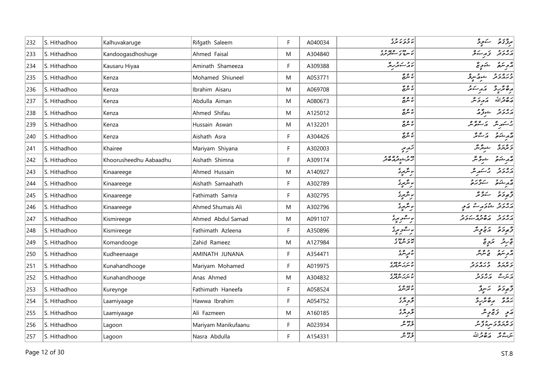| 232 | S. Hithadhoo | Kalhuvakaruge          | Rifgath Saleem      | F  | A040034 | ر ور ر و ،<br>ما نوه ما بوی            | بروتۇم سەرد                                                   |
|-----|--------------|------------------------|---------------------|----|---------|----------------------------------------|---------------------------------------------------------------|
| 233 | S. Hithadhoo | Kandoogasdhoshuge      | Ahmed Faisal        | M  | A304840 | ر دور ۱۵ پود د<br>ما سره کا سافرمرد    | برەرد تەربىر                                                  |
| 234 | S. Hithadhoo | Kausaru Hiyaa          | Aminath Shameeza    | F. | A309388 | ىر قريەتە ئەر                          | ړ څر سرچ<br>ڪو <i>۾ ج</i> ُ                                   |
| 235 | S. Hithadhoo | Kenza                  | Mohamed Shiuneel    | M  | A053771 | ء مريح                                 | ورەرو ھورىرو                                                  |
| 236 | S. Hithadhoo | Kenza                  | Ibrahim Aisaru      | M  | A069708 | ء ه پر                                 | رەنۇر ئەرسىم                                                  |
| 237 | S. Hithadhoo | Kenza                  | Abdulla Aiman       | M  | A080673 | ء ه پچ                                 | مَصْعَراللَّهُ مَهْرَمْكَن                                    |
| 238 | S. Hithadhoo | Kenza                  | Ahmed Shifau        | M  | A125012 | ء مريج<br>ما سرچ                       | أرەر دىنى ئە                                                  |
| 239 | S. Hithadhoo | Kenza                  | Hussain Aswan       | M  | A132201 | ء ه پر                                 | بر سکه شهر می کنده شر                                         |
| 240 | S. Hithadhoo | Kenza                  | Aishath Asra        | F  | A304426 | ء مريح                                 | ەر ئىستوق بر ئىستىر                                           |
| 241 | S. Hithadhoo | Khairee                | Mariyam Shiyana     | F  | A302003 | تەرىپە<br>مەنبە                        | ره ره شوره<br>د <i>پره د</i>                                  |
| 242 | S. Hithadhoo | Khoorusheedhu Aabaadhu | Aishath Shimna      | F. | A309174 | دد و سوره دو در د<br>  زیمر شونده کانر | أقهر مشكمة المسورة مكر                                        |
| 243 | S. Hithadhoo | Kinaareege             | Ahmed Hussain       | M  | A140927 | ىر مېترىپرى<br>م                       | رەرو ئەسىر ش                                                  |
| 244 | S. Hithadhoo | Kinaareege             | Aishath Samaahath   | F  | A302789 | ىر مېژىيە؟<br>س                        | وكروشن والمردح                                                |
| 245 | S. Hithadhoo | Kinaareege             | Fathimath Samra     | F  | A302795 | ىدىتىرى<br>برىتىرى                     | و ده سره پر                                                   |
| 246 | S. Hithadhoo | Kinaareege             | Ahmed Shumais Ali   | M  | A302796 | ىدىترىيە<br>س                          | أرورو كالحادر فالمعج أوالمح                                   |
| 247 | S. Hithadhoo | Kismireege             | Ahmed Abdul Samad   | M  | A091107 | ىر شەھ بىرى<br>بر                      | נסני נסיס נני                                                 |
| 248 | S. Hithadhoo | Kismireege             | Fathimath Azleena   | F. | A350896 | ىر سىھ جەيدى<br>س                      | قوم مۇمبۇر                                                    |
| 249 | S. Hithadhoo | Komandooge             | Zahid Rameez        | M  | A127984 | پر بر دود د<br>ما تر سرد ک             | لتجرير تمزح مج                                                |
| 250 | S. Hithadhoo | Kudheenaage            | AMINATH JUNANA      | F. | A354471 | ئورىشى<br>  ئورىشى                     | و پر پر<br>بے سربئر<br>أرمز                                   |
| 251 | S. Hithadhoo | Kunahandhooge          | Mariyam Mohamed     | F  | A019975 | و پر پر ۵۶۵<br>پر سربر سربر پ          | و رە ر د<br><i>د ب</i> رگرىز<br>ر ه ر ه<br><del>د</del> بربرو |
| 252 | S. Hithadhoo | Kunahandhooge          | Anas Ahmed          | M  | A304832 | و بر بر ۵۶۵<br>بر سربر سربری           | كالمرس كالمرور                                                |
| 253 | S. Hithadhoo | Kureynge               | Fathimath Haneefa   | F  | A058524 | و ۵۵ و ۷<br>ما مگرس                    | ۇۋۇۋە ئەببۇ                                                   |
| 254 | S. Hithadhoo | Laamiyaage             | Hawwa Ibrahim       | F  | A054752 | ۇ جە بۇ ئ                              |                                                               |
| 255 | S. Hithadhoo | Laamiyaage             | Ali Fazmeen         | M  | A160185 | ۇ دېژى                                 | ړنو نوچ ویژ                                                   |
| 256 | S. Hithadhoo | Lagoon                 | Mariyam Manikufaanu | F  | A023934 | ه دد ه<br>مرد س                        | د ۱۵ ره د سره و محمد                                          |
| 257 | S. Hithadhoo | Lagoon                 | Nasra Abdulla       | F. | A154331 | ه دو ه<br>مرد س                        | سَرَبِّ حَمَّ مَرْهُ مِّرَاللَّهُ                             |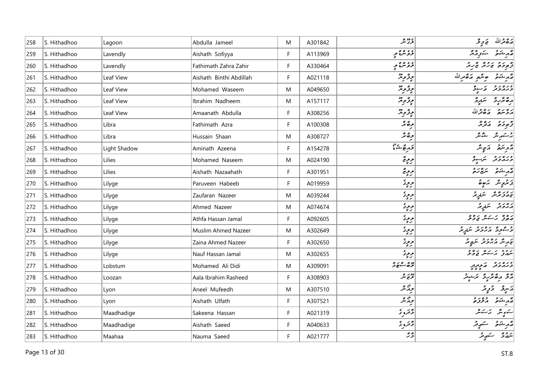| 258 | S. Hithadhoo   | Lagoon       | Abdulla Jameel          | M  | A301842 | ړ ده ه<br>مور س                                            | برة والله كم وحي                                                                                      |
|-----|----------------|--------------|-------------------------|----|---------|------------------------------------------------------------|-------------------------------------------------------------------------------------------------------|
| 259 | S. Hithadhoo   | Lavendly     | Aishath Sofiyya         | F  | A113969 | ى ئەھمىن <sup>ى</sup> م <sub>ى</sub> ر                     | ە ئەختى سەرەر                                                                                         |
| 260 | S. Hithadhoo   | Lavendly     | Fathimath Zahra Zahir   | F  | A330464 | ئۇغرىقىمۇ                                                  | توجد و بروید می بار                                                                                   |
| 261 | S. Hithadhoo   | Leaf View    | Aishath Binthi Abdillah | F. | A021118 | ووګو پر                                                    | مذرخوم ومثبر مكامرالله                                                                                |
| 262 | S. Hithadhoo   | Leaf View    | Mohamed Waseem          | M  | A049650 | و و دد.<br>په ر                                            | ورەرو كەسوۋ                                                                                           |
| 263 | S. Hithadhoo   | Leaf View    | Ibrahim Nadheem         | M  | A157117 | و و و در<br>پورې                                           | رەپرىر سەرد                                                                                           |
| 264 | S. Hithadhoo   | Leaf View    | Amaanath Abdulla        | F  | A308256 | و و دد<br>په موه                                           | مؤسع مَصْعَراللّه                                                                                     |
| 265 | S. Hithadhoo   | Libra        | Fathimath Azra          | F  | A100308 | جره پژ                                                     | و محمد حرم المحمد المحمد المحمد المحمد المحمد المحمد المحمد المحمد المحمد المحمد المحمد المحمد المحمد |
| 266 | S. Hithadhoo   | Libra        | Hussain Shaan           | M  | A308727 | وە تر                                                      | يز سەر شەھ ھەشر                                                                                       |
| 267 | S. Hithadhoo   | Light Shadow | Aminath Azeena          | F  | A154278 | ترريح شوج                                                  | أزويتم أرمي متر                                                                                       |
| 268 | S. Hithadhoo   | Lilies       | Mohamed Naseem          | M  | A024190 | موموچ<br>ريخ                                               | כנסנכ תניית                                                                                           |
| 269 | l S. Hithadhoo | Lilies       | Aishath Nazaahath       | F  | A301951 | موموج                                                      | و ديده سرور د                                                                                         |
| 270 | S. Hithadhoo   | Lilyge       | Paruveen Habeeb         | F. | A019959 | موموتى<br>مربو                                             | بركره سالم المراجع فأ                                                                                 |
| 271 | S. Hithadhoo   | Lilyge       | Zaufaran Nazeer         | M  | A039244 | موموتى<br>مرتو                                             | ىم ئەرگىرىش سىنېرىتى                                                                                  |
| 272 | S. Hithadhoo   | Lilyge       | Ahmed Nazeer            | M  | A074674 | مومو <sup>ء</sup><br>مريج                                  | أرەر ئىستىر                                                                                           |
| 273 | S. Hithadhoo   | Lilyge       | Athfa Hassan Jamal      | F  | A092605 | موموتى<br>مرتو                                             | رەپ رىك رىپە                                                                                          |
| 274 | S. Hithadhoo   | Lilyge       | Muslim Ahmed Nazeer     | M  | A302649 | مومودگا<br>مرگیب                                           |                                                                                                       |
| 275 | S. Hithadhoo   | Lilyge       | Zaina Ahmed Nazeer      | F  | A302650 | مومور<br>مرتو                                              | ىم ئىگە ئەمرو ئىي ئى                                                                                  |
| 276 | S. Hithadhoo   | Lilyge       | Nauf Hassan Jamal       | M  | A302655 | مومور<br>ري                                                | بروو برخش ووو                                                                                         |
| 277 | S. Hithadhoo   | Lobstum      | Mohamed Ali Didi        | M  | A309091 | پره روړو                                                   | ورەرتى كەرىرىر                                                                                        |
| 278 | S. Hithadhoo   | Loozan       | Aala Ibrahim Rasheed    | F  | A308903 | ددر ه<br>مربع مثر                                          | ړی ره ټر و برخونه                                                                                     |
| 279 | S. Hithadhoo   | Lyon         | Aneel Mufeedh           | M  | A307510 | مرممثر                                                     | ړکېږ د وړ                                                                                             |
| 280 | S. Hithadhoo   | Lyon         | Aishath Ulfath          | F  | A307521 | جەمىر                                                      | و در ده در در د                                                                                       |
| 281 | S. Hithadhoo   | Maadhadige   | Sakeena Hassan          | F  | A021319 | و در دي.<br>مرد د                                          | سەيدىگە ئەسكىلى                                                                                       |
| 282 | S. Hithadhoo   | Maadhadige   | Aishath Saeed           | F  | A040633 | ۇ ئەرب <sub>ۇ</sub> ئ                                      | وكرمشكم التكرمر                                                                                       |
| 283 | S. Hithadhoo   | Maahaa       | Nauma Saeed             | F. | A021777 | $\overset{\circ}{\mathcal{I}}\overset{\circ}{\mathcal{I}}$ | يروم سنهدش                                                                                            |
|     |                |              |                         |    |         |                                                            |                                                                                                       |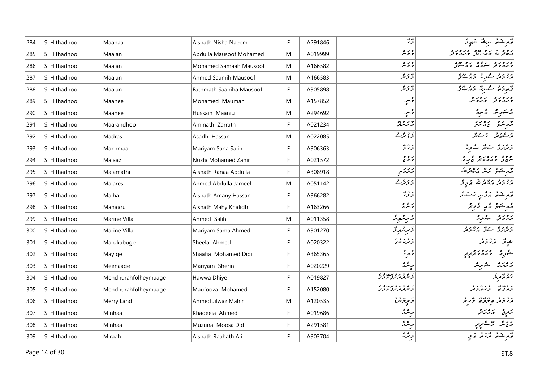| 284 | S. Hithadhoo | Maahaa               | Aishath Nisha Naeem      | F         | A291846 | $\overset{\circ}{\mathcal{Z}}\overset{\circ}{\mathcal{Z}}$   | أمار الشامي المراجع الكرماني                                  |
|-----|--------------|----------------------|--------------------------|-----------|---------|--------------------------------------------------------------|---------------------------------------------------------------|
| 285 | S. Hithadhoo | Maalan               | Abdulla Mausoof Mohamed  | M         | A019999 | ۇ ئەشر                                                       | رەدالله رو دوه ورەرو<br>مەھىرالله <i>د</i> مبور <i>دىم</i> مە |
| 286 | S. Hithadhoo | Maalan               | Mohamed Samaah Mausoof   | M         | A166582 | ۇ ئەشر                                                       | כנסנכ נשם נכסם<br><i>כג</i> ונכת ייכג כו <i>נ</i> יינ         |
| 287 | S. Hithadhoo | Maalan               | Ahmed Saamih Mausoof     | M         | A166583 | ۇ ئەشر                                                       | גפגד הבידי בגידון                                             |
| 288 | S. Hithadhoo | Maalan               | Fathmath Saaniha Mausoof | F         | A305898 | ۇ ئەشر                                                       | و موده گسره در دو                                             |
| 289 | S. Hithadhoo | Maanee               | Mohamed Mauman           | M         | A157852 | ۇسر                                                          | כנסנכ נכנס                                                    |
| 290 | S. Hithadhoo | Maanee               | Hussain Maaniu           | ${\sf M}$ | A294692 | ۇسە                                                          |                                                               |
| 291 | S. Hithadhoo | Maarandhoo           | Aminath Zarrath          | F         | A021234 | یر رہ دو<br>تر سربر                                          | أترجع بماته والمحمدة                                          |
| 292 | S. Hithadhoo | Madras               | Asadh Hassan             | M         | A022085 | <sup>ى ە</sup> مۇر ھ                                         | ى ھەردىس ئەسكەنلە                                             |
| 293 | S. Hithadhoo | Makhmaa              | Mariyam Sana Salih       | F         | A306363 | ۇرۇ                                                          | دەرە سەر سەرر                                                 |
| 294 | S. Hithadhoo | Malaaz               | Nuzfa Mohamed Zahir      | F         | A021572 | ترڅې                                                         |                                                               |
| 295 | S. Hithadhoo | Malamathi            | Aishath Ranaa Abdulla    | F         | A308918 | لرئر كحرم                                                    | قەرشەم ئىرىئر ھەمراللە                                        |
| 296 | S. Hithadhoo | Malares              | Ahmed Abdulla Jameel     | M         | A051142 | ىر ئەچ                                                       | ره رو بره دالله تم د و                                        |
| 297 | S. Hithadhoo | Malha                | Aishath Amany Hassan     | F         | A366282 | دەپ                                                          | مەستوم مۇس مەسكىر                                             |
| 298 | S. Hithadhoo | Manaaru              | Aishath Mahy Khalidh     | F         | A163266 | ىر شرحه                                                      | أمار مسكامي التحرير                                           |
| 299 | S. Hithadhoo | Marine Villa         | Ahmed Salih              | M         | A011358 | ۇبرىئرو ئە                                                   | دەرد ھەمدى                                                    |
| 300 | S. Hithadhoo | Marine Villa         | Mariyam Sama Ahmed       | F         | A301270 | د <sub>مر</sub> ش <sub>عر</sub> دَّ                          | و ماده در در در د                                             |
| 301 | S. Hithadhoo | Marukabuge           | Sheela Ahmed             | F         | A020322 | ر در د ،<br><del>ر</del> بر ره د                             | شوق - مەركىر                                                  |
| 302 | S. Hithadhoo | May ge               | Shaafia Mohamed Didi     | F         | A365365 | ې<br>تر مړي                                                  | أشورة ورورورور                                                |
| 303 | S. Hithadhoo | Meenaage             | Mariyam Sherin           | F         | A020229 | حريثر                                                        | وبروه<br>شە بىر بىر                                           |
| 304 | S. Hithadhoo | Mendhurahfolheymaage | Hawwa Dhiye              | F         | A019827 | ې ده و ر ه پر <i>ي و ›</i><br>تر سربر <i>پر سرفر لر تر</i> ک | برە ئە <sub>ت</sub> رى <i>ر</i> ىگە                           |
| 305 | S. Hithadhoo | Mendhurahfolheymaage | Maufooza Mohamed         | F         | A152080 | ن ہ و ر ہ پورے پر ،<br>و سربر پر سرفر لر تر ی                | و ره ر و<br>تر پر ژنر<br>ر دود پر<br>تر مرتز م                |
| 306 | S. Hithadhoo | Merry Land           | Ahmed Jilwaz Mahir       | ${\sf M}$ | A120535 | <sup>ء</sup> ِ برِ پَرُ مَرْ ۽<br>پُر مَشَرَ مَدَ            | برورد وووی ڈرنڈ                                               |
| 307 | S. Hithadhoo | Minhaa               | Khadeeja Ahmed           | F         | A019686 | حريثر                                                        | أرَسٍ فَمَدَوَسٌ                                              |
| 308 | S. Hithadhoo | Minhaa               | Muzuna Moosa Didi        | F         | A291581 | حريثر                                                        | و و په در در کلورنر<br>د مخ س د ک                             |
| 309 | S. Hithadhoo | Miraah               | Aishath Raahath Ali      | F         | A303704 | جرمرمه                                                       | أقهر يشتم المرد المراجع                                       |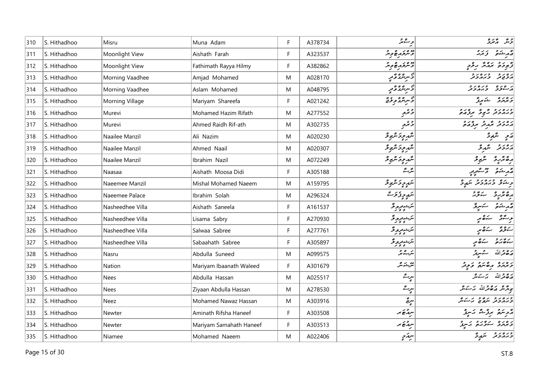| 310 | S. Hithadhoo | Misru            | Muna Adam               | F  | A378734 | اديقيتي                                 | و په په دره<br>دستر گمانگرو                                                                                                          |
|-----|--------------|------------------|-------------------------|----|---------|-----------------------------------------|--------------------------------------------------------------------------------------------------------------------------------------|
| 311 | S. Hithadhoo | Moonlight View   | Aishath Farah           | F  | A323537 | وممرغرم ومر                             | وكرمائيهم وكالرز                                                                                                                     |
| 312 | S. Hithadhoo | Moonlight View   | Fathimath Rayya Hilmy   | F  | A382862 | وحمر فرمزم ومر                          | وٌوِدَهِ مَهُمٌ رَوْدٍ                                                                                                               |
| 313 | S. Hithadhoo | Morning Vaadhee  | Amjad Mohamed           | M  | A028170 | ء سرسری گرمبر<br>حر                     | رەر درەرد<br>مرحى رىممى                                                                                                              |
| 314 | S. Hithadhoo | Morning Vaadhee  | Aslam Mohamed           | M  | A048795 | م سر شره و مړ                           | و رە ر د<br><i>د بر</i> گرىز<br>ەسىرى                                                                                                |
| 315 | S. Hithadhoo | Morning Village  | Mariyam Shareefa        | F  | A021242 | ە بىر بىرى ئەرەپتى<br>ئابىر بىرىمى ئىرى | وبروه الشميرة                                                                                                                        |
| 316 | S. Hithadhoo | Murevi           | Mohamed Hazim Rifath    | M  | A277552 | وبمو                                    | כגם גב האם תנמת                                                                                                                      |
| 317 | S. Hithadhoo | Murevi           | Ahmed Raidh Rif-ath     | M  | A302735 | ويمو                                    | גם גב האת הנבים                                                                                                                      |
| 318 | S. Hithadhoo | Naailee Manzil   | Ali Nazim               | M  | A020230 | م <i>تېر د د</i> مربح د                 | ړې شمور کل                                                                                                                           |
| 319 | S. Hithadhoo | Naailee Manzil   | Ahmed Naail             | M  | A020307 | ئى <i>نىد بې</i> رۇ ئىر ئى              | رورو شهو                                                                                                                             |
| 320 | S. Hithadhoo | Naailee Manzil   | Ibrahim Nazil           | M  | A072249 | ش <sub>ەم</sub> ور مىي ۋ                | ە ھەترىرى<br>بر ھەترىرى<br>ىترىج قر                                                                                                  |
| 321 | S. Hithadhoo | Naasaa           | Aishath Moosa Didi      | F  | A305188 | ىئرىئە                                  |                                                                                                                                      |
| 322 | S. Hithadhoo | Naeemee Manzil   | Mishal Mohamed Naeem    | M  | A159795 | ىئىر <sub>چە</sub> ر ئىرىمى ئى          | و شو وره دو شهره<br>و شو وبرمرونر شهره                                                                                               |
| 323 | S. Hithadhoo | Naeemee Palace   | Ibrahim Solah           | M  | A296324 | ىئى <sub>م</sub> يەنزىر 2               |                                                                                                                                      |
| 324 | S. Hithadhoo | Nasheedhee Villa | Aishath Saneela         | F  | A161537 | ىترىشەمرە <sub>ر</sub> قر               | د در در در مند دیگر<br>امریک در مند در مند در کار در کار در کار در کار در کار در در کار در دلیل در این در کار در کار در کار در کار د |
| 325 | S. Hithadhoo | Nasheedhee Villa | Lisama Sabry            | F  | A270930 | ىترىشەدرەرگە                            | $707 - 317$                                                                                                                          |
| 326 | S. Hithadhoo | Nasheedhee Villa | Salwaa Sabree           | F  | A277761 | ىئرىشەترەرگە<br>ئەسىمەترىر              | رەپ بەھىر                                                                                                                            |
| 327 | S. Hithadhoo | Nasheedhee Villa | Sabaahath Sabree        | F. | A305897 | سَرَڪوتو <i>و</i> گر                    | $rac{0}{2}$                                                                                                                          |
| 328 | S. Hithadhoo | Nasru            | Abdulla Suneed          | M  | A099575 | ىئەبەيىتى                               | سے سرور<br>برە تراللە                                                                                                                |
| 329 | S. Hithadhoo | Nation           | Mariyam Ibaanath Waleed | F. | A301679 | ىي <sub>مىشى</sub> ر                    | وبرازد المتحاشي وكموثر                                                                                                               |
| 330 | S. Hithadhoo | <b>Nees</b>      | Abdulla Hassan          | M  | A025517 | سريمه                                   | مَدْ قَدْاللّه بَرْسَوْسْ                                                                                                            |
| 331 | S. Hithadhoo | <b>Nees</b>      | Ziyaan Abdulla Hassan   | M  | A278530 | سريہ                                    | ىج مەھرىر ھەراللە برىكەش                                                                                                             |
| 332 | S. Hithadhoo | <b>Neez</b>      | Mohamed Nawaz Hassan    | M  | A303916 | سرچ                                     | وره رو د بوو د ده.<br>وبرووتر سرویج برخش                                                                                             |
| 333 | S. Hithadhoo | Newter           | Aminath Rifsha Haneef   | F  | A303508 | لسرقي تد                                | مەدىنى بروڭ ئايرو                                                                                                                    |
| 334 | S. Hithadhoo | Newter           | Mariyam Samahath Haneef | F. | A303513 | ليرجيحه                                 |                                                                                                                                      |
| 335 | S. Hithadhoo | Niamee           | Mohamed Naeem           | M  | A022406 | سرمزح                                   | ورەر ئىمەد                                                                                                                           |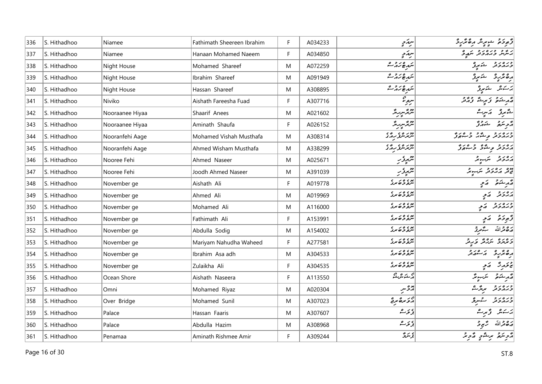| 336 | S. Hithadhoo | Niamee          | Fathimath Sheereen Ibrahim | F | A034233 | سريرىيه                                  | ۇ <sub>ج</sub> ودۇ شېرىش مەھەرد             |
|-----|--------------|-----------------|----------------------------|---|---------|------------------------------------------|---------------------------------------------|
| 337 | S. Hithadhoo | Niamee          | Hanaan Mohamed Naeem       | F | A034850 | سريريح                                   | ק כן כן סקב האביר.<br>הייתיית כהוקכת ייתוב  |
| 338 | S. Hithadhoo | Night House     | Mohamed Shareef            | M | A072259 | سَم <i>ع ڪرم</i> ش                       | ورەرو شەرو                                  |
| 339 | S. Hithadhoo | Night House     | Ibrahim Shareef            | M | A091949 | سَمَهِ جَائِرة مُتَ                      | دەندىر<br>ے <i>مو</i> ر                     |
| 340 | S. Hithadhoo | Night House     | Hassan Shareef             | M | A308895 | سَمَهِ ڪِ تَمَ ڪُ                        | يَرْسَمْسْ خَمَعِيقْ                        |
| 341 | S. Hithadhoo | Niviko          | Aishath Fareesha Fuad      | F | A307716 | سرجر تن                                  | وأرشكم ويرشأ والأفر                         |
| 342 | S. Hithadhoo | Nooraanee Hiyaa | Shaarif Anees              | M | A021602 | دوره<br>مترنگرسور مر                     | شەمرۇ كەسپەشە                               |
| 343 | S. Hithadhoo | Nooraanee Hiyaa | Aminath Shaufa             | F | A026152 | دوره<br>مترنگرسرسر مر                    | أرتج سيمروج                                 |
| 344 | S. Hithadhoo | Nooranfehi Aage | Mohamed Vishah Musthafa    | M | A308314 | دد ره د د په په<br>سرپرسرتی <i>ر</i> و د | ورەرو پەشكە ورىدە                           |
| 345 | S. Hithadhoo | Nooranfehi Aage | Ahmed Wisham Musthafa      | M | A338299 | دد بر ه ، بر بر ،<br>سرچر سرو بر مرد     | رورد وبشو ومدو                              |
| 346 | S. Hithadhoo | Nooree Fehi     | Ahmed Naseer               | M | A025671 | چژ <sub>مبرو</sub> سه<br>سر              | أرەرو ش يې                                  |
| 347 | S. Hithadhoo | Nooree Fehi     | Joodh Ahmed Naseer         | M | A391039 | چژ <sub>مبرو</sub> سر<br>سر              | دده بروبر و برسوبر<br>ای تر بربرد تر برسوبر |
| 348 | S. Hithadhoo | November ge     | Aishath Ali                | F | A019778 | یو ، ه د ر ،<br>سرچ د ت مرد              | أقهر شنعتى أقدمي                            |
| 349 | S. Hithadhoo | November ge     | Ahmed Ali                  | M | A019969 | یر ، ه ر بر ،<br>سرو ژن مرد              | ړ ور د کامي                                 |
| 350 | S. Hithadhoo | November ge     | Mohamed Ali                | M | A116000 | یر ، ه ر ر ،<br>سر <i>و د ه بر</i> د     | ورەرد كەي                                   |
| 351 | S. Hithadhoo | November ge     | Fathimath Ali              | F | A153991 | یر ، ه ر به<br>سرو ژن مرد                | و و د د کا                                  |
| 352 | S. Hithadhoo | November ge     | Abdulla Sodig              | M | A154002 | یو ، ه د د ،<br>سرچ و ت مرد              | برە قراللە سەمرتى                           |
| 353 | S. Hithadhoo | November ge     | Mariyam Nahudha Waheed     | F | A277581 | یر ، ه ر به<br>سر <i>و د ه بر</i> د      | גם גם גם מגברה.<br>המחבר ייתונית פיגות      |
| 354 | S. Hithadhoo | November ge     | Ibrahim Asa adh            | M | A304533 | یو ، ه د ر ،<br>سرو ژ ت مرد              | תפתוב הלית                                  |
| 355 | S. Hithadhoo | November ge     | Zulaikha Ali               | F | A304535 | یر ، ه ر به<br>سرو ژن مرد                | ہ تحمد شہر میں                              |
| 356 | S. Hithadhoo | Ocean Shore     | Aishath Naseera            | F | A113550 | <i>م شەنگرىش</i>                         | ۇرىشى ئىربىر                                |
| 357 | S. Hithadhoo | Omni            | Mohamed Riyaz              | M | A020304 | بره<br>در د                              | ورەرو پەرگ                                  |
| 358 | S. Hithadhoo | Over Bridge     | Mohamed Sunil              | M | A307023 | 0 كەندە ھېرى<br>مەنزىق مېرىقى            | ورەرو ئەرۋ                                  |
| 359 | S. Hithadhoo | Palace          | Hassan Faaris              | M | A307607 | بۇ ئۆرگە                                 | برَسەنگە<br>ۇ ئىرىشە                        |
| 360 | S. Hithadhoo | Palace          | Abdulla Hazim              | M | A308968 | ې ئەر ھ                                  | برە تراللە<br>ر محمو خر                     |
| 361 | S. Hithadhoo | Penamaa         | Aminath Rishmee Amir       | F | A309244 | ې پر پر<br>بر سرچ                        | أزويتم برعوم أزوير                          |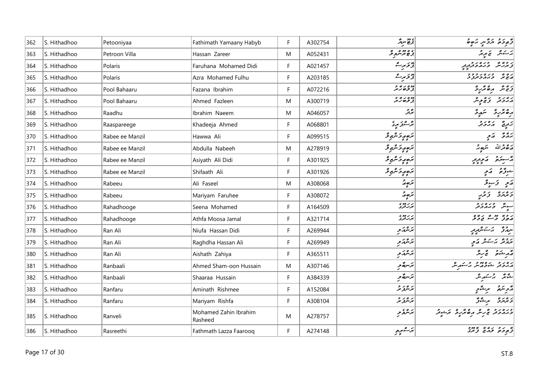| 362 | S. Hithadhoo   | Petooniyaa      | Fathimath Yamaany Habyb          | F. | A302754 | ء دو<br>بوھ سرمر                          | توجده الكريب بركا                                                                                                                                                                                                                                                                                                                                                                                                                                                                   |
|-----|----------------|-----------------|----------------------------------|----|---------|-------------------------------------------|-------------------------------------------------------------------------------------------------------------------------------------------------------------------------------------------------------------------------------------------------------------------------------------------------------------------------------------------------------------------------------------------------------------------------------------------------------------------------------------|
| 363 | S. Hithadhoo   | Petroon Villa   | Hassan Zareer                    | M  | A052431 | ، ه دو ه<br> زیع مرسر <sub>مو</sub> مَرَّ | ئەسكەنلەر ئىم ئ <i>ىرى</i> گە                                                                                                                                                                                                                                                                                                                                                                                                                                                       |
| 364 | S. Hithadhoo   | Polaris         | Faruhana Mohamed Didi            | F  | A021457 | ېز ئەبر <sub>ى</sub> شە                   | ر وه شهر وره رو در در در برای باشد.<br>از بررگش از جهار خانوارد برای                                                                                                                                                                                                                                                                                                                                                                                                                |
| 365 | S. Hithadhoo   | Polaris         | Azra Mohamed Fulhu               | F  | A203185 | ېز ئەبىر <sup>م</sup>                     | נים בניםניבביב<br>היאי במהכנקרי                                                                                                                                                                                                                                                                                                                                                                                                                                                     |
| 366 | S. Hithadhoo   | Pool Bahaaru    | Fazana Ibrahim                   | F  | A072216 | دده ر بر د<br>بر <del>ن</del> ون نر       | زیځینګه ره ټرېږ ۹                                                                                                                                                                                                                                                                                                                                                                                                                                                                   |
| 367 | S. Hithadhoo   | Pool Bahaaru    | Ahmed Fazleen                    | M  | A300719 | دده ر بر د<br>بر نره ر س                  | رەرو رەپر                                                                                                                                                                                                                                                                                                                                                                                                                                                                           |
| 368 | S. Hithadhoo   | Raadhu          | Ibrahim Naeem                    | M  | A046057 | بڑوڑ                                      | رە ئرىر ئىر                                                                                                                                                                                                                                                                                                                                                                                                                                                                         |
| 369 | S. Hithadhoo   | Raaspareege     | Khadeeja Ahmed                   | F. | A068801 | ېژ په دې <sub>مور</sub> ي                 | ئرىرىگە<br>مەھم<br>ەر دىر                                                                                                                                                                                                                                                                                                                                                                                                                                                           |
| 370 | S. Hithadhoo   | Rabee ee Manzil | Hawwa Ali                        | F  | A099515 | ىئەمە ئەسىم ب <sup>و</sup>                | $\begin{array}{ c } \hline \rule{0pt}{2ex} & \circ & \circ \\ \hline \rule{0pt}{2ex} & \circ & \circ \\ \hline \rule{0pt}{2ex} & \circ & \circ \end{array}$                                                                                                                                                                                                                                                                                                                         |
| 371 | S. Hithadhoo   | Rabee ee Manzil | Abdulla Nabeeh                   | M  | A278919 | ىئەھ پەر ئىرى<br>مۇ                       | حاقة قدالله تتزجيه                                                                                                                                                                                                                                                                                                                                                                                                                                                                  |
| 372 | S. Hithadhoo   | Rabee ee Manzil | Asiyath Ali Didi                 | F. | A301925 | ى<br>ئومۇر ئەنگىرى                        | ومستركم وكالمحافية                                                                                                                                                                                                                                                                                                                                                                                                                                                                  |
| 373 | S. Hithadhoo   | Rabee ee Manzil | Shifaath Ali                     | F  | A301926 | ىمەدە ئەر                                 | $\begin{array}{cc} \mathcal{L}_{\mathcal{A}} & \mathcal{E}_{\mathcal{A}}^{\mathcal{B}} & \mathcal{E}_{\mathcal{A}}^{\mathcal{B}} & \mathcal{E}_{\mathcal{A}}^{\mathcal{B}} & \mathcal{E}_{\mathcal{A}}^{\mathcal{B}} & \mathcal{E}_{\mathcal{A}}^{\mathcal{B}} & \mathcal{E}_{\mathcal{A}}^{\mathcal{B}} & \mathcal{E}_{\mathcal{A}}^{\mathcal{B}} & \mathcal{E}_{\mathcal{A}}^{\mathcal{B}} & \mathcal{E}_{\mathcal{A}}^{\mathcal{B}} & \mathcal{E}_{\mathcal{A}}^{\mathcal{B}} &$ |
| 374 | S. Hithadhoo   | Rabeeu          | Ali Faseel                       | M  | A308068 | پر<br>مربه د                              | ەي تەبدى                                                                                                                                                                                                                                                                                                                                                                                                                                                                            |
| 375 | S. Hithadhoo   | Rabeeu          | Mariyam Faruhee                  | F. | A308072 | برەد                                      | ومروه ومر                                                                                                                                                                                                                                                                                                                                                                                                                                                                           |
| 376 | S. Hithadhoo   | Rahadhooge      | Seena Mohamed                    | F  | A164509 | ر ر دد د<br>بور تور                       | سوش وره رو                                                                                                                                                                                                                                                                                                                                                                                                                                                                          |
| 377 | S. Hithadhoo   | Rahadhooge      | Athfa Moosa Jamal                | F. | A321714 | ر ر دو تا<br>بورتوری                      | ړ وه او شکه نړ وه و                                                                                                                                                                                                                                                                                                                                                                                                                                                                 |
| 378 | l S. Hithadhoo | Ran Ali         | Niufa Hassan Didi                | F  | A269944 | برىثىدَ جە                                | سرچر پر سکس پر پر                                                                                                                                                                                                                                                                                                                                                                                                                                                                   |
| 379 | S. Hithadhoo   | Ran Ali         | Raghdha Hassan Ali               | F  | A269949 | برمدنز                                    | بروی برے میں کے پر                                                                                                                                                                                                                                                                                                                                                                                                                                                                  |
| 380 | S. Hithadhoo   | Ran Ali         | Aishath Zahiya                   | F  | A365511 | ابرنقدمز                                  |                                                                                                                                                                                                                                                                                                                                                                                                                                                                                     |
| 381 | S. Hithadhoo   | Ranbaali        | Ahmed Sham-oon Hussain           | M  | A307146 | ابرسقع                                    |                                                                                                                                                                                                                                                                                                                                                                                                                                                                                     |
| 382 | S. Hithadhoo   | Ranbaali        | Shaaraa Hussain                  | F  | A384339 | بَرَسهةً و                                | شويم برسمهريمر                                                                                                                                                                                                                                                                                                                                                                                                                                                                      |
| 383 | S. Hithadhoo   | Ranfaru         | Aminath Rishmee                  | F  | A152084 | ىر ھەر ج                                  | أأدجر المتمر المراسطور                                                                                                                                                                                                                                                                                                                                                                                                                                                              |
| 384 | S. Hithadhoo   | Ranfaru         | Mariyam Rishfa                   | F  | A308104 | ىر ھەر ج                                  | رەرە برشۇ                                                                                                                                                                                                                                                                                                                                                                                                                                                                           |
| 385 | S. Hithadhoo   | Ranveli         | Mohamed Zahin Ibrahim<br>Rasheed | M  | A278757 | برموغرمر                                  | ورەرد پەرىك مەھەر ئەس كەشەر                                                                                                                                                                                                                                                                                                                                                                                                                                                         |
| 386 | S. Hithadhoo   | Rasreethi       | Fathmath Lazza Faarooq           | F. | A274148 | .<br>  <del>ب</del> رڪ مرمو               | كر برد بره به بردد و                                                                                                                                                                                                                                                                                                                                                                                                                                                                |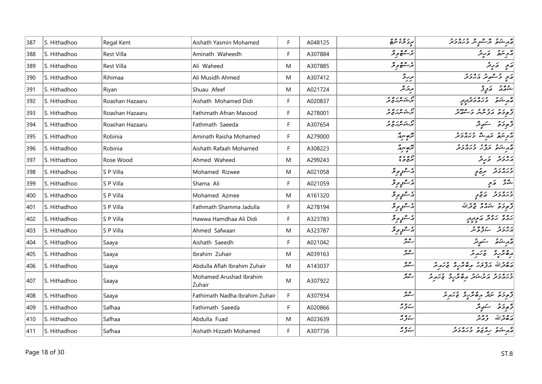| 387 | S. Hithadhoo   | Regal Kent      | Aishath Yasmin Mohamed            | F           | A048125 | ىر ئەم ئىرى                           | ړ مرغو گرگو د د د د د                                                            |
|-----|----------------|-----------------|-----------------------------------|-------------|---------|---------------------------------------|----------------------------------------------------------------------------------|
| 388 | lS. Hithadhoo  | Rest Villa      | Aminath Waheedh                   | F.          | A307884 | ى مەھ <i>مۇ</i> ئە                    | أأزحر يتمعى وأبيقه                                                               |
| 389 | l S. Hithadhoo | Rest Villa      | Ali Waheed                        | M           | A307885 | بمرت ھ <sub>اھو</sub> محر             | أة موسوقر                                                                        |
| 390 | S. Hithadhoo   | Rihimaa         | Ali Musidh Ahmed                  | M           | A307412 | بورگ                                  | ג' בריית היכנר                                                                   |
| 391 | S. Hithadhoo   | Riyan           | Shuau Afeef                       | M           | A021724 | ببرمرمثر                              | شەھەر ھۆۋ                                                                        |
| 392 | S. Hithadhoo   | Roashan Hazaaru | Aishath Mohamed Didi              | F           | A020837 | ص در در در در در در<br>مرت سربر سی مر |                                                                                  |
| 393 | S. Hithadhoo   | Roashan Hazaaru | Fathimath Afnan Masood            | F           | A278001 | ج ئەنگەرىيە <i>ج</i>                  | و د د د د و د د و د و د                                                          |
| 394 | S. Hithadhoo   | Roashan Hazaaru | Fathmath Saeeda                   | F           | A307654 | ە بەير ەيرىدى <del>ر</del>            | أرْجوحَا مَنْ السَّرْمِيَّةِ الْمُتَّابِيَّةِ الْمُتَابِيَّةِ الْمُتَابَّةِ مِنْ |
| 395 | S. Hithadhoo   | Robinia         | Aminath Raisha Mohamed            | F           | A279000 | برە بىرگە<br>ئىرە                     |                                                                                  |
| 396 | S. Hithadhoo   | Robinia         | Aishath Rafaah Mohamed            | $\mathsf F$ | A308223 | ترەپىر                                | ه د شکو ده و دره د و                                                             |
| 397 | S. Hithadhoo   | Rose Wood       | Ahmed Waheed                      | M           | A299243 | 0 0 0 0<br>مربع حر ٤                  | أرور و در د                                                                      |
| 398 | S. Hithadhoo   | S P Villa       | Mohamed Rizwee                    | M           | A021058 | ە سەب <sub>و</sub> بو قر              | ورەرو برجم                                                                       |
| 399 | S. Hithadhoo   | S P Villa       | Shama Ali                         | E           | A021059 | ە مەر <sub>ىچ جە</sub> مۇ             | الشرق المركب                                                                     |
| 400 | S. Hithadhoo   | S P Villa       | Mohamed Azmee                     | M           | A161320 | ە ش <sub>ىمو جە</sub> ئە              | وره دو ده                                                                        |
| 401 | S. Hithadhoo   | S P Villa       | Fathmath Shamma Jadulla           | F           | A278194 | پر ش <sub>انو عر</sub> مَّة<br>       | ومحرد مندود ومحدالله                                                             |
| 402 | S. Hithadhoo   | S P Villa       | Hawwa Hamdhaa Ali Didi            | F           | A323783 | ە سەب <sub>و</sub> بورۇ.<br>م         | ره و بروتر کروبربر                                                               |
| 403 | S. Hithadhoo   | S P Villa       | Ahmed Safwaan                     | M           | A323787 | ە سەب <sub>و</sub> بو قر              | رەرد رەپەر                                                                       |
| 404 | S. Hithadhoo   | Saaya           | Aishath Saeedh                    | F           | A021042 | سەپىر                                 | وكرم شكوم كالمحرم وتكر                                                           |
| 405 | S. Hithadhoo   | Saaya           | Ibrahim Zuhair                    | M           | A039163 | سەدىر                                 | مەھكرىدى ئەرمە                                                                   |
| 406 | S. Hithadhoo   | Saaya           | Abdulla Aflah Ibrahim Zuhair      | M           | A143037 | سەدىر                                 | رە داللە ئەدىر مەندە بور د                                                       |
| 407 | l S. Hithadhoo | Saaya           | Mohamed Arushad Ibrahim<br>Zuhair | M           | A307922 | ستەدىر                                | כמחכנת התשינת הסתקב המהת                                                         |
| 408 | S. Hithadhoo   | Saaya           | Fathimath Nadha Ibrahim Zuhair    | F           | A307934 | سەدىر                                 | توجدة تنتر مصريرة بمنهنر                                                         |
| 409 | l S. Hithadhoo | Safhaa          | Fathimath Saeeda                  | F           | A020866 | بە دېر                                | أزَّوِدَهُ سَهِيمٌ                                                               |
| 410 | S. Hithadhoo   | Safhaa          | Abdulla Fuad                      | M           | A023639 | ىبەد بۇ                               | أرة قرالله ومحتر                                                                 |
| 411 | S. Hithadhoo   | Safhaa          | Aishath Hizzath Mohamed           | F           | A307736 | ىبەد بۇ                               | ه شده به در دره در                                                               |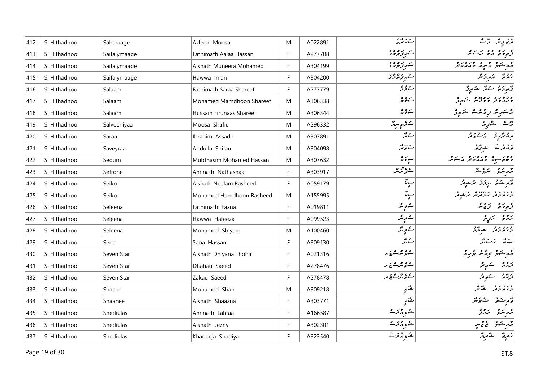| 412 | S. Hithadhoo | Saharaage    | Azleen Moosa             | ${\sf M}$ | A022891 | سەر بە ي                           | رەپەر دىم                                                                                                                                                                                                                          |
|-----|--------------|--------------|--------------------------|-----------|---------|------------------------------------|------------------------------------------------------------------------------------------------------------------------------------------------------------------------------------------------------------------------------------|
| 413 | S. Hithadhoo | Saifaiymaage | Fathimath Aalaa Hassan   | F         | A277708 | شهروه وء                           | توجده المتى برائيس                                                                                                                                                                                                                 |
| 414 | S. Hithadhoo | Saifaiymaage | Aishath Muneera Mohamed  | F         | A304199 | ر مرد کرد و در<br>مسکو تر تر تر تر | و مدين و مريد وره د و                                                                                                                                                                                                              |
| 415 | S. Hithadhoo | Saifaiymaage | Hawwa Iman               | F         | A304200 | ر<br>سىدىۋە دى                     | برە ئەرزە                                                                                                                                                                                                                          |
| 416 | S. Hithadhoo | Salaam       | Fathimath Saraa Shareef  | F         | A277779 | سەۋە                               | ۇ ي <sub>ە</sub> رە سەئە خىرى                                                                                                                                                                                                      |
| 417 | S. Hithadhoo | Salaam       | Mohamed Mamdhoon Shareef | ${\sf M}$ | A306338 | سەۋە                               | ورەرو رەدوو شەرو                                                                                                                                                                                                                   |
| 418 | S. Hithadhoo | Salaam       | Hussain Firunaas Shareef | M         | A306344 | سەۋە                               |                                                                                                                                                                                                                                    |
| 419 | S. Hithadhoo | Salveeniyaa  | Moosa Shafiu             | ${\sf M}$ | A296332 | سەۋە بىرىد                         | د سرگر می و پر گرگ انداز در این میگران<br>در محمد از این میگران کاربرده به میگران در این می کند و بر دارد در این می کند و بر این می کند و بر این می کند<br>در می کند و بر کاربرد و بر این می کند و بر این می کند و بر این می کند و |
| 420 | S. Hithadhoo | Saraa        | Ibrahim Assadh           | ${\sf M}$ | A307891 | ىەچىر                              |                                                                                                                                                                                                                                    |
| 421 | S. Hithadhoo | Saveyraa     | Abdulla Shifau           | M         | A304098 | ر ،، پ<br>سوء س                    | رە دالله خوگە                                                                                                                                                                                                                      |
| 422 | S. Hithadhoo | Sedum        | Mubthasim Mohamed Hassan | ${\sf M}$ | A307632 | سەنىۋ                              | وه د ه د و د و د د ه<br>دهموجود وبرود برخش                                                                                                                                                                                         |
| 423 | S. Hithadhoo | Sefrone      | Aminath Nathashaa        | F         | A303917 | ء ہ ص ھ                            | أزويترة الترويش                                                                                                                                                                                                                    |
| 424 | S. Hithadhoo | Seiko        | Aishath Neelam Rasheed   | F         | A059179 | $rac{c}{\sqrt{2}}$                 | مەرشەر سرىزى ئەسىر                                                                                                                                                                                                                 |
| 425 | S. Hithadhoo | Seiko        | Mohamed Hamdhoon Rasheed | ${\sf M}$ | A155995 | $rac{\mathcal{C}}{2}$              | ورەر د برەددە بر شوتر<br><i>دېرم</i> وتر بروترس برشوتر                                                                                                                                                                             |
| 426 | S. Hithadhoo | Seleena      | Fathimath Fazna          | F         | A019811 | ئەمەپتر                            | قَهْ وَحَمْدَ وَيَحْمَدُ                                                                                                                                                                                                           |
| 427 | S. Hithadhoo | Seleena      | Hawwa Hafeeza            | F         | A099523 | ر<br>سەمەتە                        | رەۋ بەرق                                                                                                                                                                                                                           |
| 428 | S. Hithadhoo | Seleena      | Mohamed Shiyam           | M         | A100460 | ئە <sub>م</sub> وبىر               | وره رو شوده.<br>وبردونر شودگرو                                                                                                                                                                                                     |
| 429 | S. Hithadhoo | Sena         | Saba Hassan              | F         | A309130 | ئەيتر                              | يتۇ بەسكىر                                                                                                                                                                                                                         |
| 430 | S. Hithadhoo | Seven Star   | Aishath Dhiyana Thohir   | F         | A021316 | <sub>ى ئە</sub> رەر ئەھ            | وأوسنو ورؤش وبربز                                                                                                                                                                                                                  |
| 431 | S. Hithadhoo | Seven Star   | Dhahau Saeed             | F         | A278476 | <sub>ع و</sub> عروض ع              | تررم پر کشتی تر                                                                                                                                                                                                                    |
| 432 | S. Hithadhoo | Seven Star   | Zakau Saeed              | F         | A278478 | ے ، <sub>شر</sub> ه عامر           | بروج مستهي <sup>د</sup>                                                                                                                                                                                                            |
| 433 | S. Hithadhoo | Shaaee       | Mohamed Shan             | ${\sf M}$ | A309218 | ے آر                               | ورەرو ئەھ                                                                                                                                                                                                                          |
| 434 | S. Hithadhoo | Shaahee      | Aishath Shaazna          | F         | A303771 | ے محمد<br>پر                       | ے مجمع مگر<br>ا پژ <sub>امر</sub> شده<br>ا                                                                                                                                                                                         |
| 435 | S. Hithadhoo | Shediulas    | Aminath Lahfaa           | F         | A166587 | ىش <sub>ى</sub> بەترىت             | أأدوسي ودور                                                                                                                                                                                                                        |
| 436 | S. Hithadhoo | Shediulas    | Aishath Jezny            | F         | A302301 | ىش <sub>ى</sub> بر ئەرگ            | وكرمشكم فيحي                                                                                                                                                                                                                       |
| 437 | S. Hithadhoo | Shediulas    | Khadeeja Shadiya         | F         | A323540 | الحدود ترقي                        | ر<br>ارزىق ئىقىمىتىلىقىنى ئىستاندىكى<br>مەنبەت ئىقىمىتىلىقىنى ئىستاندىكى                                                                                                                                                           |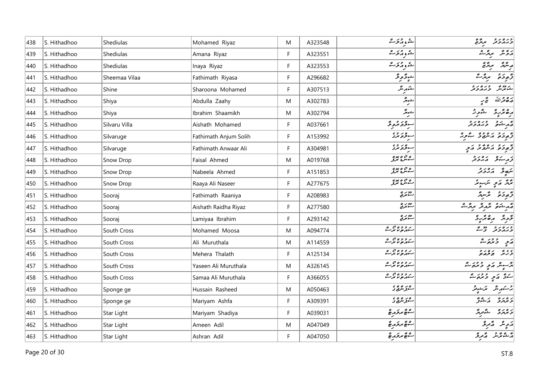| 438 | S. Hithadhoo | Shediulas         | Mohamed Riyaz         | M  | A323548 | ىش <sub>ى</sub> ر تركزىشە                 | بروسمج<br>و ر ه ر و<br>تر پر ژ تر                   |
|-----|--------------|-------------------|-----------------------|----|---------|-------------------------------------------|-----------------------------------------------------|
| 439 | S. Hithadhoo | Shediulas         | Amana Riyaz           | F. | A323551 | ىش <sub>ى</sub> بەر ئەرگ                  | پرځ پتر<br>ىرەڭرىشە                                 |
| 440 | S. Hithadhoo | Shediulas         | Inaya Riyaz           | F. | A323553 | ىش <sub>ى</sub> ر تركزىشە                 | لەيتىد<br>بردشح                                     |
| 441 | S. Hithadhoo | Sheemaa Vilaa     | Fathimath Riyasa      | F. | A296682 | ىشو <i>دۇ بە</i> ر                        | وٌ ودة و الله عبد الله                              |
| 442 | S. Hithadhoo | Shine             | Sharoona Mohamed      | F  | A307513 | شەرىتر<br>————                            | و رە ر د<br>تر پروتر<br>شە چرىتر                    |
| 443 | S. Hithadhoo | Shiya             | Abdulla Zaahy         | M  | A302783 | شەدگر                                     | <mark>بر25</mark> الله<br>ستج ب                     |
| 444 | S. Hithadhoo | Shiya             | Ibrahim Shaamikh      | M  | A302794 | شەدگر                                     | ەرھ ئ <sup>ۆ</sup> ر ۋ<br>ر مگر پر گر               |
| 445 | S. Hithadhoo | Silvaru Villa     | Aishath Mohamed       | F  | A037661 | -دمۇمۇمۇمۇ                                | ه دره دره در د                                      |
| 446 | S. Hithadhoo | Silvaruge         | Fathimath Anjum Solih | F  | A153992 | ه ر د ،<br>سه نوح بوي                     | وٌمِ وَمَعْ وَمَعْ وَمَعْ وَمَدَّمْ وَمِنْ          |
| 447 | S. Hithadhoo | Silvaruge         | Fathimath Anwaar Ali  | F. | A304981 | سوڅر د د                                  | توجده مستقتر مز                                     |
| 448 | S. Hithadhoo | Snow Drop         | Faisal Ahmed          | M  | A019768 | ه ۵ ه موه<br>سرمبر و مور                  | تەرىبى ئەرەر                                        |
| 449 | S. Hithadhoo | Snow Drop         | Nabeela Ahmed         | F  | A151853 | ه ۵ ه موه<br>سرمبر و سرو                  | سَمِعٍ وَمَدْدَثَر                                  |
| 450 | S. Hithadhoo | Snow Drop         | Raaya Ali Naseer      | F  | A277675 | <u>ه چې ویوه</u>                          | لمركز كالمي الكرسولر                                |
| 451 | S. Hithadhoo | Sooraj            | Fathimath Raaniya     | F  | A208983 | دو پر ہ<br>سنونیر                         | توجوخا متسرمته                                      |
| 452 | S. Hithadhoo | Sooraj            | Aishath Raidha Riyaz  | F  | A277580 | دو پر ہ<br>سنوبو تع                       | ەرشۇ ئەرئە بەرگ                                     |
| 453 | S. Hithadhoo | Sooraj            | Lamiyaa Ibrahim       | F. | A293142 | دو بر ه<br>سنو <i>پو</i>                  | قرمرقه وعقربه                                       |
| 454 | S. Hithadhoo | South Cross       | Mohamed Moosa         | M  | A094774 | ر د د ه ه ه ه<br>سره و پا نگر             | وره دو دور                                          |
| 455 | S. Hithadhoo | South Cross       | Ali Muruthala         | M  | A114559 | ر د د ه مې ه<br>په مونو نړ                | أورمو والمروشة                                      |
| 456 | S. Hithadhoo | South Cross       | Mehera Thalath        | F  | A125134 | پر د ده <sup>م</sup> ر مه                 | 5,00,00,00                                          |
| 457 | S. Hithadhoo | South Cross       | Yaseen Ali Muruthala  | M  | A326145 | ىر د دە ەم ھ<br>سىھەم ئىرىسى              | و الله عليه المستقرر المسير                         |
| 458 | S. Hithadhoo | South Cross       | Samaa Ali Muruthala   | F  | A366055 | پر د ده <sup>0</sup> مرگ                  | سكافة أركموا المراجح والمسكر                        |
| 459 | S. Hithadhoo | Sponge ge         | Hussain Rasheed       | M  | A050463 | <u>ه پر ۵ ۵ ء</u><br>سرو شرح <sub>ک</sub> | جرسكمريش المخرجومر                                  |
| 460 | S. Hithadhoo | Sponge ge         | Mariyam Ashfa         | F  | A309391 | <u>ه پره ه ه</u> ،<br>سرگوش پی            | رەرە بەشۇ                                           |
| 461 | S. Hithadhoo | <b>Star Light</b> | Mariyam Shadiya       | F  | A039031 | شۇ ئىر ئۆر ق                              | ر ه ر ه<br><del>ر</del> بربرگ<br>ے مگر <i>ور</i> گر |
| 462 | S. Hithadhoo | Star Light        | Ameen Adil            | M  | A047049 | <u>شوءَ برځ بر ه</u>                      | پرچائی    پرچائی                                    |
| 463 | S. Hithadhoo | <b>Star Light</b> | Ashran Adil           | F  | A047050 | ش <sub>ەڭقىم</sub> رى <i>خ م</i> ىقى      | ۇ ھەترىر كەرگ                                       |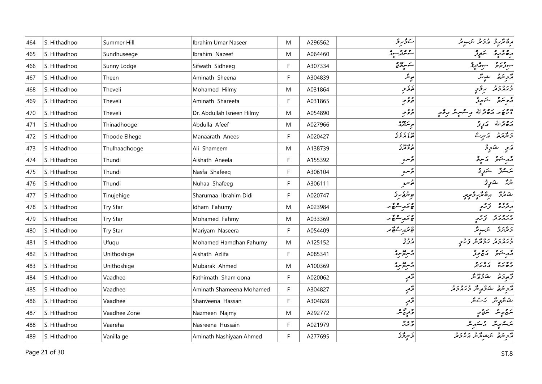| 464 | S. Hithadhoo | Summer Hill     | Ibrahim Umar Naseer       | M  | A296562 | يەۋر بۇ                                    | مەھەر دە ئەدىر سەيدىر                        |
|-----|--------------|-----------------|---------------------------|----|---------|--------------------------------------------|----------------------------------------------|
| 465 | S. Hithadhoo | Sundhuseege     | Ibrahim Nazeef            | M  | A064460 | شەھەر س <sub>ى</sub> رى                    | وەتمەر ئىنجۇ                                 |
| 466 | S. Hithadhoo | Sunny Lodge     | Sifwath Sidheeq           | F. | A307334 | ڪ سرچر <sup>ي</sup><br>په                  | $\frac{1}{2}$<br>سوړ تو تو تو<br>سر          |
| 467 | S. Hithadhoo | Theen           | Aminath Sheena            | F  | A304839 | موٍىثر                                     | أأدح منتجم الشومثر                           |
| 468 | S. Hithadhoo | Theveli         | Mohamed Hilmy             | M  | A031864 | ه ء و<br>حوحر مير                          | ورەرو برو <sub>و</sub>                       |
| 469 | S. Hithadhoo | Theveli         | Aminath Shareefa          | F  | A031865 | عرغه محر                                   | أأدمره المستمراني                            |
| 470 | S. Hithadhoo | Theveli         | Dr. Abdullah Isneen Hilmy | M  | A054890 | ەءىر                                       | بدە بە مەھىراللە مەھمىيىتر برو <sub>چ</sub>  |
| 471 | S. Hithadhoo | Thinadhooge     | Abdulla Afeef             | M  | A027966 | ر دو ء<br>ح <sub>ج</sub> سربر <sub>ک</sub> | بره والله كرورو                              |
| 472 | S. Hithadhoo | Thoode Elhege   | Manaarath Anees           | F  | A020427 | دو بر بر بر بر<br>  حو با حر بر            | ر دروسته من المراسي                          |
| 473 | S. Hithadhoo | Thulhaadhooge   | Ali Shameem               | M  | A138739 | و پر دو تا<br>حو تر تر پ                   | أركمج التكوير                                |
| 474 | S. Hithadhoo | Thundi          | Aishath Aneela            | F  | A155392 | احمسع                                      | و مشهور مسرقه<br>مستوفر مسیح                 |
| 475 | S. Hithadhoo | Thundi          | Nasfa Shafeeq             | F  | A306104 | احمسع                                      | يرومج سكورة                                  |
| 476 | S. Hithadhoo | Thundi          | Nuhaa Shafeeg             | F  | A306111 | اقوسع                                      | ده شود.<br>سرز شودٍ د                        |
| 477 | S. Hithadhoo | Tinujehige      | Sharumaa Ibrahim Didi     | F  | A020747 | ھ پر تھ<br>ج                               | د ده ده نورورور<br>شوپرو ده نورو نو          |
| 478 | S. Hithadhoo | <b>Try Star</b> | Idham Fahumy              | M  | A023984 | ھ <i>مز</i> مر ڪھُ مر                      | پرترنژی کی ژی                                |
| 479 | S. Hithadhoo | <b>Try Star</b> | Mohamed Fahmy             | M  | A033369 | <br> ع <sub>مکمر</sub> حقح مر              | ورەرو كەرج                                   |
| 480 | S. Hithadhoo | <b>Try Star</b> | Mariyam Naseera           | F  | A054409 | هو <i>مرکز م</i> ے تع                      | و ده ده سرب پر                               |
| 481 | S. Hithadhoo | Ufuqu           | Mohamed Hamdhan Fahumy    | M  | A125152 | و و و<br>مرتونو                            | وره رو بره بوه کرد.<br>د بر برد برد ترس کرد. |
| 482 | S. Hithadhoo | Unithoshige     | Aishath Azlifa            | F  | A085341 | د سرچري<br>مرسو                            | أقهر شنقى متعجز                              |
| 483 | S. Hithadhoo | Unithoshige     | Mubarak Ahmed             | M  | A100369 | د سرچري<br>مرسو                            | وه ده دورو<br>وه پر مدونر                    |
| 484 | S. Hithadhoo | Vaadhee         | Fathimath Sham oona       | F  | A020062 | حٌسٍ                                       | تو برو دره دور د                             |
| 485 | S. Hithadhoo | Vaadhee         | Aminath Shameena Mohamed  | F  | A304827 | ر<br>ح <sup>5</sup> تو                     | أزويتهم خوديد وره دو                         |
| 486 | S. Hithadhoo | Vaadhee         | Shanveena Hassan          | F. | A304828 | ر<br>ح م <sub>ي</sub>                      | ڪشمور ڪاڪر                                   |
| 487 | S. Hithadhoo | Vaadhee Zone    | Nazmeen Najmy             | M  | A292772 | ۇ يېرى<br>قۇمۇمى                           | <i>ﯩﻨﯘﭼﯩﺪ - ﻣﯘ</i> ﭼ                         |
| 488 | S. Hithadhoo | Vaareha         | Nasreena Hussain          | F  | A021979 | ی بر بر<br>حرمرت                           | للرسم يرتكز الرسكريل                         |
| 489 | S. Hithadhoo | Vanilla ge      | Aminath Nashiyaan Ahmed   | F. | A277695 | ء سرپرۍ<br>پ                               | أثر و سره است الله الله الله و بر و و در و   |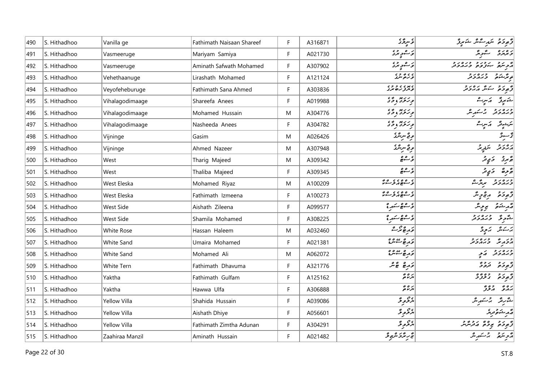| 490 | S. Hithadhoo | Vanilla ge          | Fathimath Naisaan Shareef | F  | A316871 | ء سرپرۍ<br>                                                                            | و محمد محمد الله المحمد المحمد المحمد المحمد و المحمد المحمد المحمد المحمد المحمد المحمد المحمد المحمد المحمد<br>المحمد المحمد المحمد المحمد المحمد المحمد المحمد المحمد المحمد المحمد المحمد المحمد المحمد المحمد المحمد المحم |
|-----|--------------|---------------------|---------------------------|----|---------|----------------------------------------------------------------------------------------|---------------------------------------------------------------------------------------------------------------------------------------------------------------------------------------------------------------------------------|
| 491 | S. Hithadhoo | Vasmeeruge          | Mariyam Samiya            | F  | A021730 | <br> توسع د پوری                                                                       | و مدور و محمد به                                                                                                                                                                                                                |
| 492 | S. Hithadhoo | Vasmeeruge          | Aminath Safwath Mohamed   | F. | A307902 | ئەسىھ يەرى<br>  ئۇسسى يىرى                                                             | 20012 1002 2005                                                                                                                                                                                                                 |
| 493 | S. Hithadhoo | Vehethaanuge        | Lirashath Mohamed         | F  | A121124 | ړ د پر و د<br>وره <sub>و</sub> سرو                                                     | ە ئەرەر 2019.<br>ئىگەشمى قىدەر قىر                                                                                                                                                                                              |
| 494 | S. Hithadhoo | Veyofeheburuge      | Fathimath Sana Ahmed      | F  | A303836 | ړ پر ړ د د د<br>و <del>م</del> رنو مر <i>ه بر</i> د                                    | تح و د د د د د د د د                                                                                                                                                                                                            |
| 495 | S. Hithadhoo | Vihalagodimaage     | Shareefa Anees            | F  | A019988 | ە ئەنزىدىنى<br>مەنزىر ئەر                                                              | شەيرۇ كەيرىشە                                                                                                                                                                                                                   |
| 496 | S. Hithadhoo | Vihalagodimaage     | Mohamed Hussain           | M  | A304776 | ە ئەبرىدە بەي<br>ئە                                                                    | ورەرو ج <i>ے م</i> رش                                                                                                                                                                                                           |
| 497 | S. Hithadhoo | Vihalagodimaage     | Nasheeda Anees            | F  | A304782 | ە ئەبرىدە بەي<br>ئە                                                                    |                                                                                                                                                                                                                                 |
| 498 | S. Hithadhoo | Vijninge            | Gasim                     | M  | A026426 | موقح سر يتمنَّذ                                                                        | سَرَشونَدَ <sub>ا</sub> کسِرِ مُعَ<br>سَرَشونَدَ اکسِرِ مُعَ<br>تَحْرِ وَ                                                                                                                                                       |
| 499 | S. Hithadhoo | Vijninge            | Ahmed Nazeer              | M  | A307948 | وقح سرسر مح                                                                            | رەر <del>د</del> سَن <sub>ْدِ</sub> رْ                                                                                                                                                                                          |
| 500 | S. Hithadhoo | West                | Tharig Majeed             | M  | A309342 | ءُ ڪيھ                                                                                 | ۾ پڻ ڏي پڻ                                                                                                                                                                                                                      |
| 501 | S. Hithadhoo | West                | Thaliba Majeed            | F  | A309345 | ءُ ڪيھ                                                                                 | ۾ً وقت وَمِ تَر                                                                                                                                                                                                                 |
| 502 | S. Hithadhoo | West Eleska         | Mohamed Riyaz             | M  | A100209 | ه وه وه وه و<br>و سوه د بو سوړ                                                         | ورەرو برگر                                                                                                                                                                                                                      |
| 503 | S. Hithadhoo | West Eleska         | Fathimath Izmeena         | F  | A100273 | ې موړې وه و                                                                            | توجوخو برءح يثر                                                                                                                                                                                                                 |
| 504 | S. Hithadhoo | West Side           | Aishath Zileena           | F  | A099577 | ۇ شۇ ھەسىر ؟                                                                           | قەرشۇق بېرچىگە                                                                                                                                                                                                                  |
| 505 | S. Hithadhoo | <b>West Side</b>    | Shamila Mohamed           | F. | A308225 | $\frac{1}{2}$                                                                          | شورقر وبرورو                                                                                                                                                                                                                    |
| 506 | S. Hithadhoo | White Rose          | Hassan Haleem             | M  | A032460 | ورەممە                                                                                 | پرستانګر ایر پروژ                                                                                                                                                                                                               |
| 507 | S. Hithadhoo | <b>White Sand</b>   | Umaira Mohamed            | F  | A021381 | وروعيوه                                                                                | و رە ر د<br>تر پروتر<br>ومحامرتك                                                                                                                                                                                                |
| 508 | S. Hithadhoo | <b>White Sand</b>   | Mohamed Ali               | M  | A062072 | ورقع سىمى                                                                              | ورەر د كې                                                                                                                                                                                                                       |
| 509 | S. Hithadhoo | White Tern          | Fathimath Dhavuma         | F  | A321776 | $\begin{array}{cc} \mathcal{L} & \mathcal{L} \\ \mathcal{L} & \mathcal{L} \end{array}$ | توجوحتم تروثة                                                                                                                                                                                                                   |
| 510 | S. Hithadhoo | Yaktha              | Fathimath Gulfam          | F  | A125162 | پره و                                                                                  | و ده ده ده و                                                                                                                                                                                                                    |
| 511 | S. Hithadhoo | Yaktha              | Hawwa Ulfa                | F  | A306888 | پره په                                                                                 | ره په وه پور<br>بروگ مرمونو                                                                                                                                                                                                     |
| 512 | S. Hithadhoo | <b>Yellow Villa</b> | Shahida Hussain           | F. | A039086 | بردموقر                                                                                | ڪريگر گرڪريگر                                                                                                                                                                                                                   |
| 513 | S. Hithadhoo | Yellow Villa        | Aishath Dhiye             | F  | A056601 | ەم ھەرگە<br>مەم ھەرگە                                                                  | ر<br>په کېږمنده توروگر                                                                                                                                                                                                          |
| 514 | S. Hithadhoo | <b>Yellow Villa</b> | Fathimath Zimtha Adunan   | F  | A304291 | پرعرمو محر                                                                             | و و د و و د د و و                                                                                                                                                                                                               |
| 515 | S. Hithadhoo | Zaahiraa Manzil     | Aminath Hussain           | F  | A021482 | ىج <i>رىڭرىڭ مىتو</i> گ                                                                | أأرجع بالمستمر المحمد                                                                                                                                                                                                           |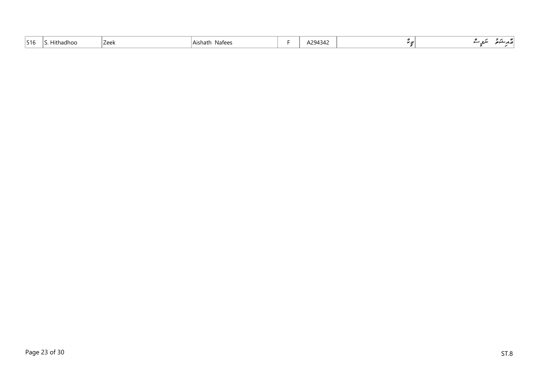| 516 | $\sqrt{2}$<br>Hithadhoo<br>--- | Aishath<br>Nafees |  | .<br>29434<br>$-$ |  | . .<br>. |
|-----|--------------------------------|-------------------|--|-------------------|--|----------|
|-----|--------------------------------|-------------------|--|-------------------|--|----------|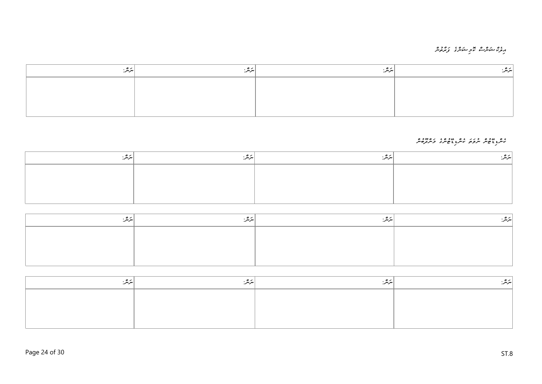## *w7qAn8m? sCw7mRo>u; wEw7mRw;sBo<*

| ' مرمر | 'يئرىثر: |
|--------|----------|
|        |          |
|        |          |
|        |          |

## *w7q9r@w7m> sCw7qHtFoFw7s; mAm=q7 w7qHtFoFw7s;*

| ىر تە | $\mathcal{O} \times$<br>$\sim$ | $\sim$<br>. . | لترنثر |
|-------|--------------------------------|---------------|--------|
|       |                                |               |        |
|       |                                |               |        |
|       |                                |               |        |

| يره | $^{\circ}$ | $\frac{2}{n}$ | $^{\circ}$<br>سرسر. |
|-----|------------|---------------|---------------------|
|     |            |               |                     |
|     |            |               |                     |
|     |            |               |                     |

| ' ئىرتىر: | سر سر |  |
|-----------|-------|--|
|           |       |  |
|           |       |  |
|           |       |  |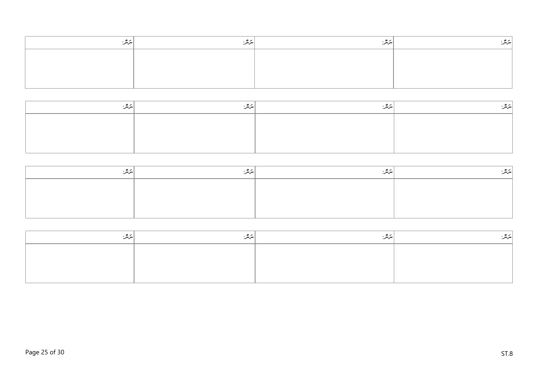| يزهر | $^{\circ}$ | ىئرىتر: |  |
|------|------------|---------|--|
|      |            |         |  |
|      |            |         |  |
|      |            |         |  |

| <sup>.</sup> سرسر. |  |
|--------------------|--|
|                    |  |
|                    |  |
|                    |  |

| ىئرىتر. | $\sim$ | ا بر هه. | لىرىش |
|---------|--------|----------|-------|
|         |        |          |       |
|         |        |          |       |
|         |        |          |       |

| 。<br>مرس. | $\overline{\phantom{a}}$<br>مر مىر | يتريثر |
|-----------|------------------------------------|--------|
|           |                                    |        |
|           |                                    |        |
|           |                                    |        |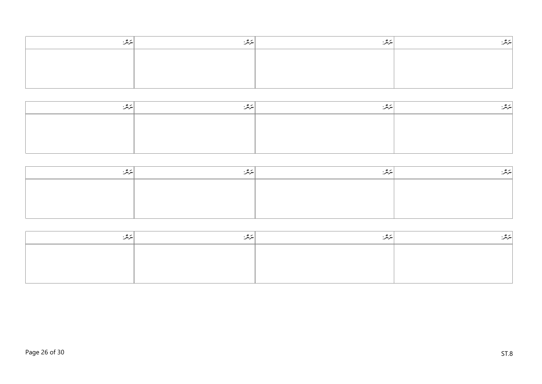| ير هو . | $\overline{\phantom{a}}$ | يرمر | اير هنه. |
|---------|--------------------------|------|----------|
|         |                          |      |          |
|         |                          |      |          |
|         |                          |      |          |

| ىر تىر: | $\circ$ $\sim$<br>" سرسر . | يبرحه | o . |
|---------|----------------------------|-------|-----|
|         |                            |       |     |
|         |                            |       |     |
|         |                            |       |     |

| 'تترنثر: | 。<br>,,,, |  |
|----------|-----------|--|
|          |           |  |
|          |           |  |
|          |           |  |

|  | . ه |
|--|-----|
|  |     |
|  |     |
|  |     |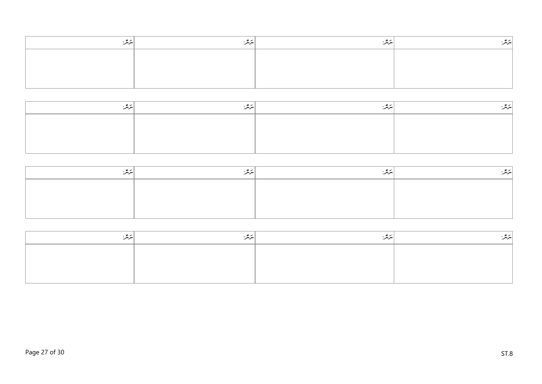| ير هو . | $\overline{\phantom{a}}$ | يرمر | اير هنه. |
|---------|--------------------------|------|----------|
|         |                          |      |          |
|         |                          |      |          |
|         |                          |      |          |

| ئىرتىر: | $\sim$<br>ا سرسر . | يئرمثر | o . |
|---------|--------------------|--------|-----|
|         |                    |        |     |
|         |                    |        |     |
|         |                    |        |     |

| انترنثر: | ر ه |  |
|----------|-----|--|
|          |     |  |
|          |     |  |
|          |     |  |

|  | . ه |
|--|-----|
|  |     |
|  |     |
|  |     |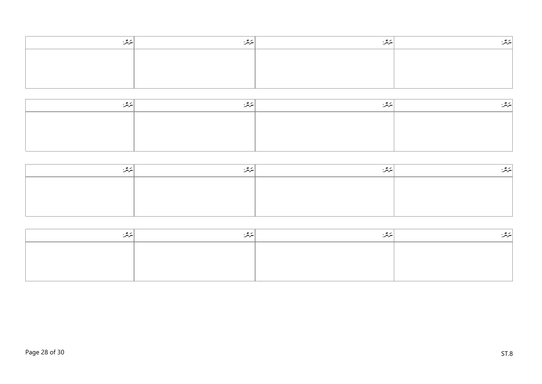| $\cdot$ | ο. | $\frac{\circ}{\cdot}$ | $\sim$<br>سرسر |
|---------|----|-----------------------|----------------|
|         |    |                       |                |
|         |    |                       |                |
|         |    |                       |                |

| يريثن | ' سرسر . |  |
|-------|----------|--|
|       |          |  |
|       |          |  |
|       |          |  |

| بر ه | 。 | $\sim$<br>َ سومس |  |
|------|---|------------------|--|
|      |   |                  |  |
|      |   |                  |  |
|      |   |                  |  |

| 。<br>. س | ىرىىر |  |
|----------|-------|--|
|          |       |  |
|          |       |  |
|          |       |  |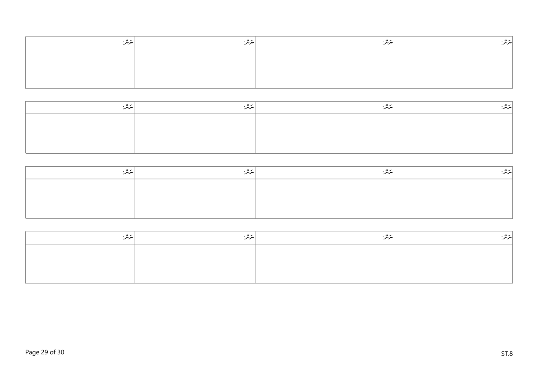| ير هو . | $\overline{\phantom{a}}$ | يرمر | لتزمثن |
|---------|--------------------------|------|--------|
|         |                          |      |        |
|         |                          |      |        |
|         |                          |      |        |

| ىر تىر: | $\circ$ $\sim$<br>" سرسر . | يبرحه | o . |
|---------|----------------------------|-------|-----|
|         |                            |       |     |
|         |                            |       |     |
|         |                            |       |     |

| 'تترنثر: | 。<br>,,,, |  |
|----------|-----------|--|
|          |           |  |
|          |           |  |
|          |           |  |

|  | . ه |
|--|-----|
|  |     |
|  |     |
|  |     |